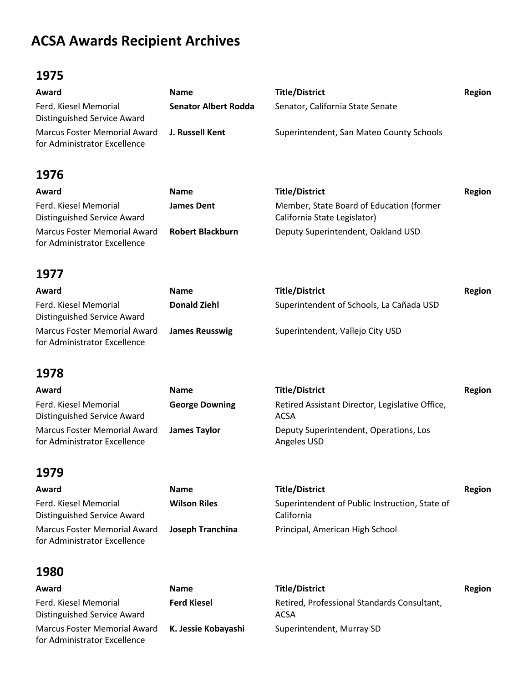# **ACSA Awards Recipient Archives**

#### **1975**

| Award                                                                        | <b>Name</b>                 | <b>Title/District</b>                    | Region |
|------------------------------------------------------------------------------|-----------------------------|------------------------------------------|--------|
| Ferd. Kiesel Memorial<br>Distinguished Service Award                         | <b>Senator Albert Rodda</b> | Senator, California State Senate         |        |
| Marcus Foster Memorial Award J. Russell Kent<br>for Administrator Excellence |                             | Superintendent, San Mateo County Schools |        |

### **1976**

| Award                                                        | <b>Name</b>             | <b>Title/District</b>                                                    | Region |
|--------------------------------------------------------------|-------------------------|--------------------------------------------------------------------------|--------|
| Ferd. Kiesel Memorial<br>Distinguished Service Award         | <b>James Dent</b>       | Member, State Board of Education (former<br>California State Legislator) |        |
| Marcus Foster Memorial Award<br>for Administrator Excellence | <b>Robert Blackburn</b> | Deputy Superintendent, Oakland USD                                       |        |

#### **1977**

| Award                                                               | <b>Name</b>           | <b>Title/District</b>                    | Region |
|---------------------------------------------------------------------|-----------------------|------------------------------------------|--------|
| Ferd. Kiesel Memorial<br>Distinguished Service Award                | <b>Donald Ziehl</b>   | Superintendent of Schools, La Cañada USD |        |
| <b>Marcus Foster Memorial Award</b><br>for Administrator Excellence | <b>James Reusswig</b> | Superintendent, Vallejo City USD         |        |

#### **1978**

| Award                                                               | <b>Name</b>           | <b>Title/District</b>                                   | Region |
|---------------------------------------------------------------------|-----------------------|---------------------------------------------------------|--------|
| Ferd. Kiesel Memorial<br>Distinguished Service Award                | <b>George Downing</b> | Retired Assistant Director, Legislative Office,<br>ACSA |        |
| <b>Marcus Foster Memorial Award</b><br>for Administrator Excellence | James Taylor          | Deputy Superintendent, Operations, Los<br>Angeles USD   |        |

#### **1979**

| Award                                                        | <b>Name</b>         | <b>Title/District</b>                                        | Region |
|--------------------------------------------------------------|---------------------|--------------------------------------------------------------|--------|
| Ferd. Kiesel Memorial<br>Distinguished Service Award         | <b>Wilson Riles</b> | Superintendent of Public Instruction, State of<br>California |        |
| Marcus Foster Memorial Award<br>for Administrator Excellence | Joseph Tranchina    | Principal, American High School                              |        |

#### **1980**

| Award                                                        | <b>Name</b>         |
|--------------------------------------------------------------|---------------------|
| Ferd. Kiesel Memorial<br>Distinguished Service Award         | <b>Ferd Kiesel</b>  |
| Marcus Foster Memorial Award<br>for Administrator Excellence | K. Jessie Kobayashi |

**Award Name Title/District Region Ferd Kiesel** Retired, Professional Standards Consultant, ACSA Superintendent, Murray SD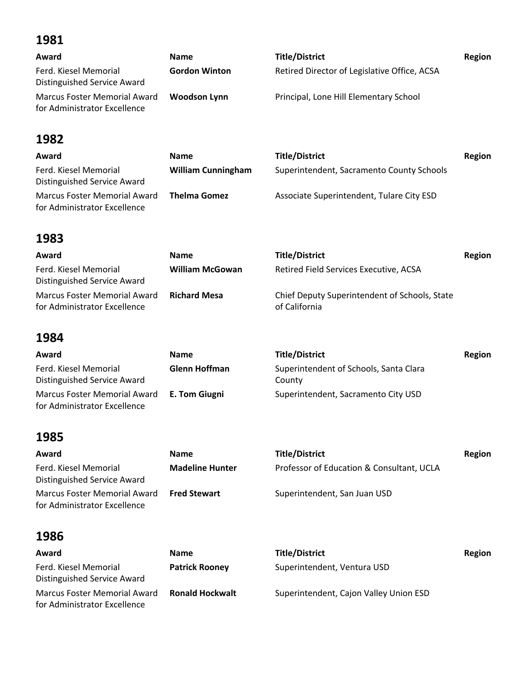| Award                                                               | <b>Name</b>          | <b>Title/District</b>                        | Region |
|---------------------------------------------------------------------|----------------------|----------------------------------------------|--------|
| Ferd. Kiesel Memorial<br>Distinguished Service Award                | <b>Gordon Winton</b> | Retired Director of Legislative Office, ACSA |        |
| <b>Marcus Foster Memorial Award</b><br>for Administrator Excellence | Woodson Lynn         | Principal, Lone Hill Elementary School       |        |

## **1982**

| Award                                                        | <b>Name</b>               | <b>Title/District</b>                     | Region |
|--------------------------------------------------------------|---------------------------|-------------------------------------------|--------|
| Ferd. Kiesel Memorial<br>Distinguished Service Award         | <b>William Cunningham</b> | Superintendent, Sacramento County Schools |        |
| Marcus Foster Memorial Award<br>for Administrator Excellence | <b>Thelma Gomez</b>       | Associate Superintendent, Tulare City ESD |        |

## **1983**

| Award                                                        | <b>Name</b>            | <b>Title/District</b>                                          | Region |
|--------------------------------------------------------------|------------------------|----------------------------------------------------------------|--------|
| Ferd. Kiesel Memorial<br>Distinguished Service Award         | <b>William McGowan</b> | Retired Field Services Executive, ACSA                         |        |
| Marcus Foster Memorial Award<br>for Administrator Excellence | <b>Richard Mesa</b>    | Chief Deputy Superintendent of Schools, State<br>of California |        |

#### **1984**

| Award                                                                             | <b>Name</b>   | <b>Title/District</b>                            | Region |
|-----------------------------------------------------------------------------------|---------------|--------------------------------------------------|--------|
| Ferd. Kiesel Memorial<br>Distinguished Service Award                              | Glenn Hoffman | Superintendent of Schools, Santa Clara<br>County |        |
| Marcus Foster Memorial Award <b>E. Tom Giugni</b><br>for Administrator Excellence |               | Superintendent, Sacramento City USD              |        |

## **1985**

| Award                                                        | <b>Name</b>            | <b>Title/District</b>                     | Region |
|--------------------------------------------------------------|------------------------|-------------------------------------------|--------|
| Ferd. Kiesel Memorial<br>Distinguished Service Award         | <b>Madeline Hunter</b> | Professor of Education & Consultant, UCLA |        |
| Marcus Foster Memorial Award<br>for Administrator Excellence | <b>Fred Stewart</b>    | Superintendent, San Juan USD              |        |

| Award                                                        | <b>Name</b>            | <b>Title/District</b>                  | Region |
|--------------------------------------------------------------|------------------------|----------------------------------------|--------|
| Ferd. Kiesel Memorial<br>Distinguished Service Award         | <b>Patrick Rooney</b>  | Superintendent, Ventura USD            |        |
| Marcus Foster Memorial Award<br>for Administrator Excellence | <b>Ronald Hockwalt</b> | Superintendent, Cajon Valley Union ESD |        |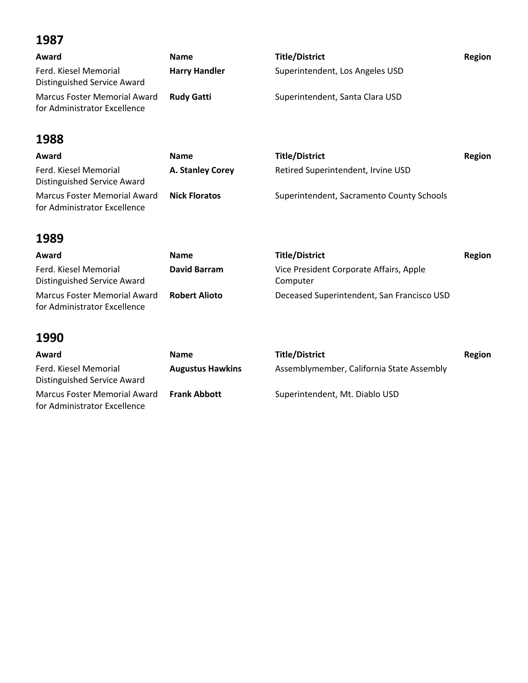| Award                                                               | <b>Name</b>          | <b>Title/District</b>           | Region |
|---------------------------------------------------------------------|----------------------|---------------------------------|--------|
| Ferd. Kiesel Memorial<br>Distinguished Service Award                | <b>Harry Handler</b> | Superintendent, Los Angeles USD |        |
| <b>Marcus Foster Memorial Award</b><br>for Administrator Excellence | <b>Rudy Gatti</b>    | Superintendent, Santa Clara USD |        |

## **1988**

| Award                                                        | <b>Name</b>          | <b>Title/District</b>                     | Region |
|--------------------------------------------------------------|----------------------|-------------------------------------------|--------|
| Ferd. Kiesel Memorial<br>Distinguished Service Award         | A. Stanley Corey     | Retired Superintendent, Irvine USD        |        |
| Marcus Foster Memorial Award<br>for Administrator Excellence | <b>Nick Floratos</b> | Superintendent, Sacramento County Schools |        |

## **1989**

| Award                                                        | <b>Name</b>          | <b>Title/District</b>                               | Region |
|--------------------------------------------------------------|----------------------|-----------------------------------------------------|--------|
| Ferd. Kiesel Memorial<br>Distinguished Service Award         | <b>David Barram</b>  | Vice President Corporate Affairs, Apple<br>Computer |        |
| Marcus Foster Memorial Award<br>for Administrator Excellence | <b>Robert Alioto</b> | Deceased Superintendent, San Francisco USD          |        |

| Award                                                        | <b>Name</b>             | <b>Title/District</b>                     | Region |
|--------------------------------------------------------------|-------------------------|-------------------------------------------|--------|
| Ferd. Kiesel Memorial<br>Distinguished Service Award         | <b>Augustus Hawkins</b> | Assemblymember, California State Assembly |        |
| Marcus Foster Memorial Award<br>for Administrator Excellence | <b>Frank Abbott</b>     | Superintendent, Mt. Diablo USD            |        |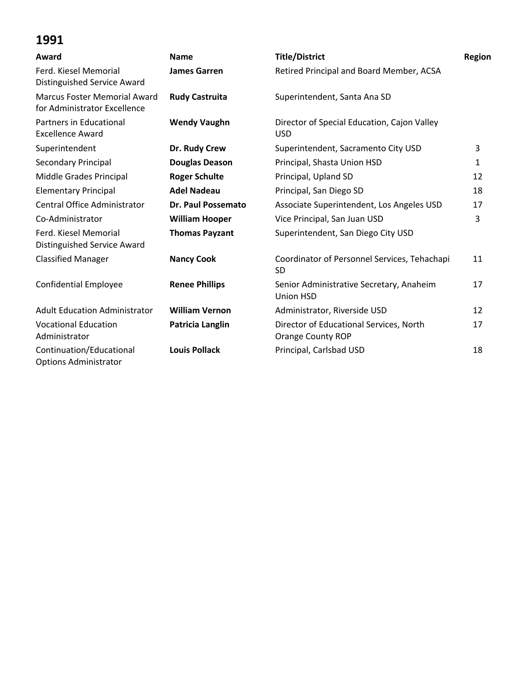| Award                                                               | <b>Name</b>               | <b>Title/District</b>                                               | Region |
|---------------------------------------------------------------------|---------------------------|---------------------------------------------------------------------|--------|
| Ferd. Kiesel Memorial<br>Distinguished Service Award                | <b>James Garren</b>       | Retired Principal and Board Member, ACSA                            |        |
| <b>Marcus Foster Memorial Award</b><br>for Administrator Excellence | <b>Rudy Castruita</b>     | Superintendent, Santa Ana SD                                        |        |
| Partners in Educational<br><b>Excellence Award</b>                  | <b>Wendy Vaughn</b>       | Director of Special Education, Cajon Valley<br><b>USD</b>           |        |
| Superintendent                                                      | Dr. Rudy Crew             | Superintendent, Sacramento City USD                                 | 3      |
| Secondary Principal                                                 | <b>Douglas Deason</b>     | Principal, Shasta Union HSD                                         | 1      |
| Middle Grades Principal                                             | <b>Roger Schulte</b>      | Principal, Upland SD                                                | 12     |
| <b>Elementary Principal</b>                                         | <b>Adel Nadeau</b>        | Principal, San Diego SD                                             | 18     |
| Central Office Administrator                                        | <b>Dr. Paul Possemato</b> | Associate Superintendent, Los Angeles USD                           | 17     |
| Co-Administrator                                                    | <b>William Hooper</b>     | Vice Principal, San Juan USD                                        | 3      |
| Ferd. Kiesel Memorial<br>Distinguished Service Award                | <b>Thomas Payzant</b>     | Superintendent, San Diego City USD                                  |        |
| <b>Classified Manager</b>                                           | <b>Nancy Cook</b>         | Coordinator of Personnel Services, Tehachapi<br><b>SD</b>           | 11     |
| <b>Confidential Employee</b>                                        | <b>Renee Phillips</b>     | Senior Administrative Secretary, Anaheim<br><b>Union HSD</b>        | 17     |
| <b>Adult Education Administrator</b>                                | <b>William Vernon</b>     | Administrator, Riverside USD                                        | 12     |
| <b>Vocational Education</b><br>Administrator                        | Patricia Langlin          | Director of Educational Services, North<br><b>Orange County ROP</b> | 17     |
| Continuation/Educational<br><b>Options Administrator</b>            | <b>Louis Pollack</b>      | Principal, Carlsbad USD                                             | 18     |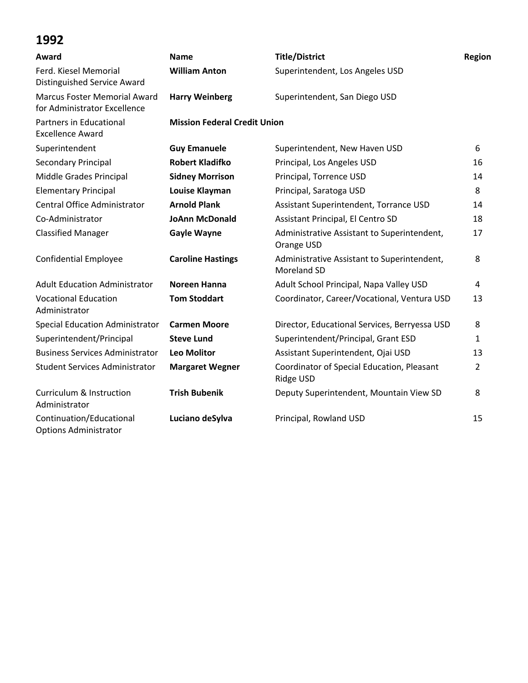| Award                                                               | <b>Name</b>                         | <b>Title/District</b>                                      | Region         |
|---------------------------------------------------------------------|-------------------------------------|------------------------------------------------------------|----------------|
| Ferd. Kiesel Memorial<br>Distinguished Service Award                | <b>William Anton</b>                | Superintendent, Los Angeles USD                            |                |
| <b>Marcus Foster Memorial Award</b><br>for Administrator Excellence | <b>Harry Weinberg</b>               | Superintendent, San Diego USD                              |                |
| Partners in Educational<br><b>Excellence Award</b>                  | <b>Mission Federal Credit Union</b> |                                                            |                |
| Superintendent                                                      | <b>Guy Emanuele</b>                 | Superintendent, New Haven USD                              | 6              |
| Secondary Principal                                                 | <b>Robert Kladifko</b>              | Principal, Los Angeles USD                                 | 16             |
| Middle Grades Principal                                             | <b>Sidney Morrison</b>              | Principal, Torrence USD                                    | 14             |
| <b>Elementary Principal</b>                                         | Louise Klayman                      | Principal, Saratoga USD                                    | 8              |
| Central Office Administrator                                        | <b>Arnold Plank</b>                 | Assistant Superintendent, Torrance USD                     | 14             |
| Co-Administrator                                                    | <b>JoAnn McDonald</b>               | Assistant Principal, El Centro SD                          | 18             |
| <b>Classified Manager</b>                                           | <b>Gayle Wayne</b>                  | Administrative Assistant to Superintendent,<br>Orange USD  | 17             |
| <b>Confidential Employee</b>                                        | <b>Caroline Hastings</b>            | Administrative Assistant to Superintendent,<br>Moreland SD | 8              |
| <b>Adult Education Administrator</b>                                | <b>Noreen Hanna</b>                 | Adult School Principal, Napa Valley USD                    | 4              |
| <b>Vocational Education</b><br>Administrator                        | <b>Tom Stoddart</b>                 | Coordinator, Career/Vocational, Ventura USD                | 13             |
| <b>Special Education Administrator</b>                              | <b>Carmen Moore</b>                 | Director, Educational Services, Berryessa USD              | 8              |
| Superintendent/Principal                                            | <b>Steve Lund</b>                   | Superintendent/Principal, Grant ESD                        | 1              |
| <b>Business Services Administrator</b>                              | <b>Leo Molitor</b>                  | Assistant Superintendent, Ojai USD                         | 13             |
| <b>Student Services Administrator</b>                               | <b>Margaret Wegner</b>              | Coordinator of Special Education, Pleasant<br>Ridge USD    | $\overline{2}$ |
| <b>Curriculum &amp; Instruction</b><br>Administrator                | <b>Trish Bubenik</b>                | Deputy Superintendent, Mountain View SD                    | 8              |
| Continuation/Educational<br><b>Options Administrator</b>            | Luciano deSylva                     | Principal, Rowland USD                                     | 15             |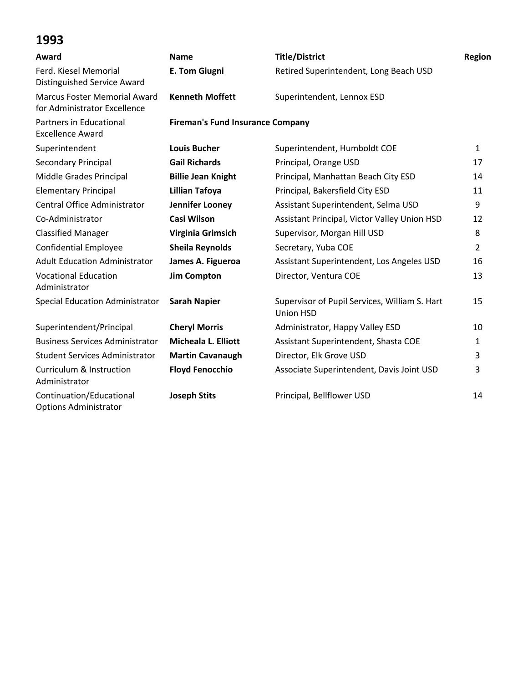| Award                                                               | <b>Name</b>                             | <b>Title/District</b>                                             | <b>Region</b>  |
|---------------------------------------------------------------------|-----------------------------------------|-------------------------------------------------------------------|----------------|
| Ferd. Kiesel Memorial<br>Distinguished Service Award                | <b>E. Tom Giugni</b>                    | Retired Superintendent, Long Beach USD                            |                |
| <b>Marcus Foster Memorial Award</b><br>for Administrator Excellence | <b>Kenneth Moffett</b>                  | Superintendent, Lennox ESD                                        |                |
| <b>Partners in Educational</b><br><b>Excellence Award</b>           | <b>Fireman's Fund Insurance Company</b> |                                                                   |                |
| Superintendent                                                      | <b>Louis Bucher</b>                     | Superintendent, Humboldt COE                                      | $\mathbf{1}$   |
| Secondary Principal                                                 | <b>Gail Richards</b>                    | Principal, Orange USD                                             | 17             |
| Middle Grades Principal                                             | <b>Billie Jean Knight</b>               | Principal, Manhattan Beach City ESD                               | 14             |
| <b>Elementary Principal</b>                                         | <b>Lillian Tafoya</b>                   | Principal, Bakersfield City ESD                                   | 11             |
| Central Office Administrator                                        | Jennifer Looney                         | Assistant Superintendent, Selma USD                               | 9              |
| Co-Administrator                                                    | <b>Casi Wilson</b>                      | Assistant Principal, Victor Valley Union HSD                      | 12             |
| <b>Classified Manager</b>                                           | Virginia Grimsich                       | Supervisor, Morgan Hill USD                                       | 8              |
| <b>Confidential Employee</b>                                        | <b>Sheila Reynolds</b>                  | Secretary, Yuba COE                                               | $\overline{2}$ |
| <b>Adult Education Administrator</b>                                | James A. Figueroa                       | Assistant Superintendent, Los Angeles USD                         | 16             |
| <b>Vocational Education</b><br>Administrator                        | <b>Jim Compton</b>                      | Director, Ventura COE                                             | 13             |
| <b>Special Education Administrator</b>                              | <b>Sarah Napier</b>                     | Supervisor of Pupil Services, William S. Hart<br><b>Union HSD</b> | 15             |
| Superintendent/Principal                                            | <b>Cheryl Morris</b>                    | Administrator, Happy Valley ESD                                   | 10             |
| <b>Business Services Administrator</b>                              | <b>Micheala L. Elliott</b>              | Assistant Superintendent, Shasta COE                              | 1              |
| <b>Student Services Administrator</b>                               | <b>Martin Cavanaugh</b>                 | Director, Elk Grove USD                                           | 3              |
| Curriculum & Instruction<br>Administrator                           | <b>Floyd Fenocchio</b>                  | Associate Superintendent, Davis Joint USD                         | 3              |
| Continuation/Educational<br><b>Options Administrator</b>            | <b>Joseph Stits</b>                     | Principal, Bellflower USD                                         | 14             |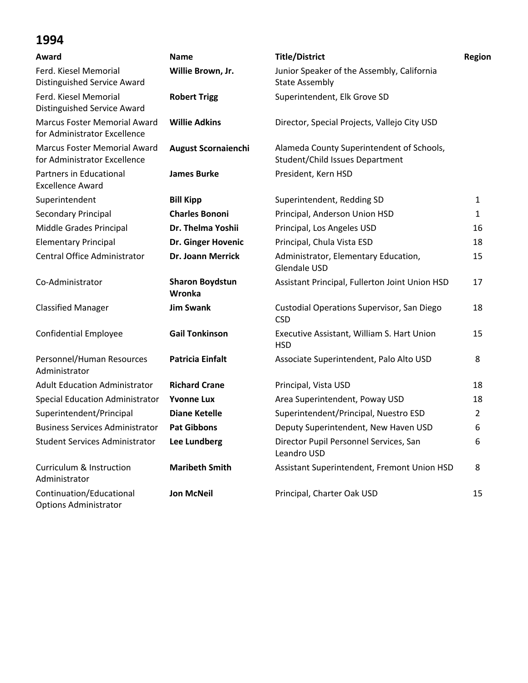| Award                                                               | <b>Name</b>                      | <b>Title/District</b>                                                        | <b>Region</b>  |
|---------------------------------------------------------------------|----------------------------------|------------------------------------------------------------------------------|----------------|
| Ferd. Kiesel Memorial<br>Distinguished Service Award                | Willie Brown, Jr.                | Junior Speaker of the Assembly, California<br><b>State Assembly</b>          |                |
| Ferd. Kiesel Memorial<br>Distinguished Service Award                | <b>Robert Trigg</b>              | Superintendent, Elk Grove SD                                                 |                |
| <b>Marcus Foster Memorial Award</b><br>for Administrator Excellence | <b>Willie Adkins</b>             | Director, Special Projects, Vallejo City USD                                 |                |
| <b>Marcus Foster Memorial Award</b><br>for Administrator Excellence | <b>August Scornaienchi</b>       | Alameda County Superintendent of Schools,<br>Student/Child Issues Department |                |
| Partners in Educational<br><b>Excellence Award</b>                  | <b>James Burke</b>               | President, Kern HSD                                                          |                |
| Superintendent                                                      | <b>Bill Kipp</b>                 | Superintendent, Redding SD                                                   | 1              |
| Secondary Principal                                                 | <b>Charles Bononi</b>            | Principal, Anderson Union HSD                                                | 1              |
| Middle Grades Principal                                             | Dr. Thelma Yoshii                | Principal, Los Angeles USD                                                   | 16             |
| <b>Elementary Principal</b>                                         | Dr. Ginger Hovenic               | Principal, Chula Vista ESD                                                   | 18             |
| <b>Central Office Administrator</b>                                 | <b>Dr. Joann Merrick</b>         | Administrator, Elementary Education,<br>Glendale USD                         | 15             |
| Co-Administrator                                                    | <b>Sharon Boydstun</b><br>Wronka | Assistant Principal, Fullerton Joint Union HSD                               | 17             |
| <b>Classified Manager</b>                                           | <b>Jim Swank</b>                 | Custodial Operations Supervisor, San Diego<br><b>CSD</b>                     | 18             |
| <b>Confidential Employee</b>                                        | <b>Gail Tonkinson</b>            | Executive Assistant, William S. Hart Union<br><b>HSD</b>                     | 15             |
| Personnel/Human Resources<br>Administrator                          | <b>Patricia Einfalt</b>          | Associate Superintendent, Palo Alto USD                                      | 8              |
| <b>Adult Education Administrator</b>                                | <b>Richard Crane</b>             | Principal, Vista USD                                                         | 18             |
| <b>Special Education Administrator</b>                              | <b>Yvonne Lux</b>                | Area Superintendent, Poway USD                                               | 18             |
| Superintendent/Principal                                            | <b>Diane Ketelle</b>             | Superintendent/Principal, Nuestro ESD                                        | $\overline{2}$ |
| <b>Business Services Administrator</b>                              | <b>Pat Gibbons</b>               | Deputy Superintendent, New Haven USD                                         | 6              |
| <b>Student Services Administrator</b>                               | <b>Lee Lundberg</b>              | Director Pupil Personnel Services, San<br>Leandro USD                        | 6              |
| <b>Curriculum &amp; Instruction</b><br>Administrator                | <b>Maribeth Smith</b>            | Assistant Superintendent, Fremont Union HSD                                  | 8              |
| Continuation/Educational<br><b>Options Administrator</b>            | <b>Jon McNeil</b>                | Principal, Charter Oak USD                                                   | 15             |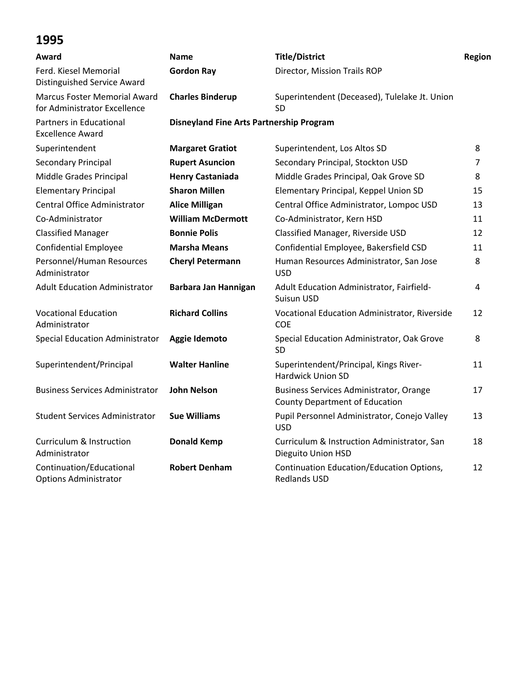| Award                                                        | <b>Name</b>                                     | <b>Title/District</b>                                                                   | Region |
|--------------------------------------------------------------|-------------------------------------------------|-----------------------------------------------------------------------------------------|--------|
| Ferd. Kiesel Memorial<br>Distinguished Service Award         | <b>Gordon Ray</b>                               | Director, Mission Trails ROP                                                            |        |
| Marcus Foster Memorial Award<br>for Administrator Excellence | <b>Charles Binderup</b>                         | Superintendent (Deceased), Tulelake Jt. Union<br><b>SD</b>                              |        |
| Partners in Educational<br><b>Excellence Award</b>           | <b>Disneyland Fine Arts Partnership Program</b> |                                                                                         |        |
| Superintendent                                               | <b>Margaret Gratiot</b>                         | Superintendent, Los Altos SD                                                            | 8      |
| <b>Secondary Principal</b>                                   | <b>Rupert Asuncion</b>                          | Secondary Principal, Stockton USD                                                       | 7      |
| Middle Grades Principal                                      | <b>Henry Castaniada</b>                         | Middle Grades Principal, Oak Grove SD                                                   | 8      |
| <b>Elementary Principal</b>                                  | <b>Sharon Millen</b>                            | Elementary Principal, Keppel Union SD                                                   | 15     |
| Central Office Administrator                                 | <b>Alice Milligan</b>                           | Central Office Administrator, Lompoc USD                                                | 13     |
| Co-Administrator                                             | <b>William McDermott</b>                        | Co-Administrator, Kern HSD                                                              | 11     |
| <b>Classified Manager</b>                                    | <b>Bonnie Polis</b>                             | Classified Manager, Riverside USD                                                       | 12     |
| <b>Confidential Employee</b>                                 | <b>Marsha Means</b>                             | Confidential Employee, Bakersfield CSD                                                  | 11     |
| Personnel/Human Resources<br>Administrator                   | <b>Cheryl Petermann</b>                         | Human Resources Administrator, San Jose<br><b>USD</b>                                   | 8      |
| <b>Adult Education Administrator</b>                         | Barbara Jan Hannigan                            | Adult Education Administrator, Fairfield-<br>Suisun USD                                 | 4      |
| <b>Vocational Education</b><br>Administrator                 | <b>Richard Collins</b>                          | Vocational Education Administrator, Riverside<br>COE                                    | 12     |
| <b>Special Education Administrator</b>                       | Aggie Idemoto                                   | Special Education Administrator, Oak Grove<br>SD                                        | 8      |
| Superintendent/Principal                                     | <b>Walter Hanline</b>                           | Superintendent/Principal, Kings River-<br><b>Hardwick Union SD</b>                      | 11     |
| <b>Business Services Administrator</b>                       | <b>John Nelson</b>                              | <b>Business Services Administrator, Orange</b><br><b>County Department of Education</b> | 17     |
| <b>Student Services Administrator</b>                        | <b>Sue Williams</b>                             | Pupil Personnel Administrator, Conejo Valley<br><b>USD</b>                              | 13     |
| <b>Curriculum &amp; Instruction</b><br>Administrator         | <b>Donald Kemp</b>                              | Curriculum & Instruction Administrator, San<br>Dieguito Union HSD                       | 18     |
| Continuation/Educational<br><b>Options Administrator</b>     | <b>Robert Denham</b>                            | Continuation Education/Education Options,<br><b>Redlands USD</b>                        | 12     |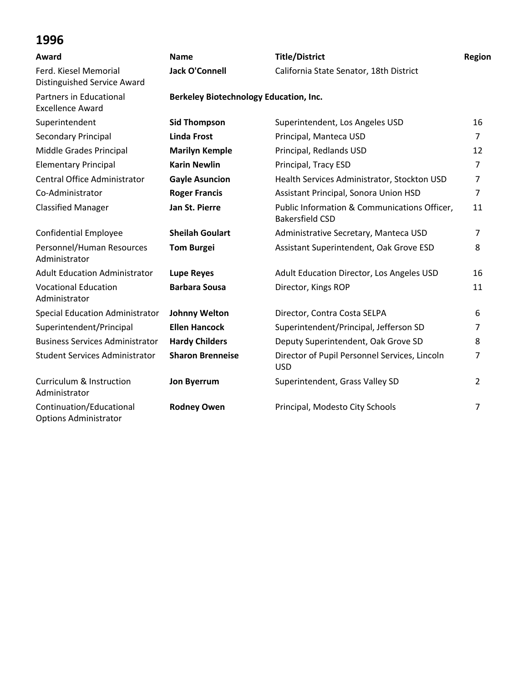| Award                                                    | <b>Name</b>                                   | <b>Title/District</b>                                                  | Region         |
|----------------------------------------------------------|-----------------------------------------------|------------------------------------------------------------------------|----------------|
| Ferd. Kiesel Memorial<br>Distinguished Service Award     | <b>Jack O'Connell</b>                         | California State Senator, 18th District                                |                |
| Partners in Educational<br><b>Excellence Award</b>       | <b>Berkeley Biotechnology Education, Inc.</b> |                                                                        |                |
| Superintendent                                           | <b>Sid Thompson</b>                           | Superintendent, Los Angeles USD                                        | 16             |
| Secondary Principal                                      | <b>Linda Frost</b>                            | Principal, Manteca USD                                                 | $\overline{7}$ |
| Middle Grades Principal                                  | <b>Marilyn Kemple</b>                         | Principal, Redlands USD                                                | 12             |
| <b>Elementary Principal</b>                              | <b>Karin Newlin</b>                           | Principal, Tracy ESD                                                   | $\overline{7}$ |
| Central Office Administrator                             | <b>Gayle Asuncion</b>                         | Health Services Administrator, Stockton USD                            | 7              |
| Co-Administrator                                         | <b>Roger Francis</b>                          | Assistant Principal, Sonora Union HSD                                  | $\overline{7}$ |
| <b>Classified Manager</b>                                | Jan St. Pierre                                | Public Information & Communications Officer,<br><b>Bakersfield CSD</b> | 11             |
| <b>Confidential Employee</b>                             | <b>Sheilah Goulart</b>                        | Administrative Secretary, Manteca USD                                  | $\overline{7}$ |
| Personnel/Human Resources<br>Administrator               | <b>Tom Burgei</b>                             | Assistant Superintendent, Oak Grove ESD                                | 8              |
| <b>Adult Education Administrator</b>                     | <b>Lupe Reyes</b>                             | Adult Education Director, Los Angeles USD                              | 16             |
| <b>Vocational Education</b><br>Administrator             | <b>Barbara Sousa</b>                          | Director, Kings ROP                                                    | 11             |
| <b>Special Education Administrator</b>                   | <b>Johnny Welton</b>                          | Director, Contra Costa SELPA                                           | 6              |
| Superintendent/Principal                                 | <b>Ellen Hancock</b>                          | Superintendent/Principal, Jefferson SD                                 | $\overline{7}$ |
| <b>Business Services Administrator</b>                   | <b>Hardy Childers</b>                         | Deputy Superintendent, Oak Grove SD                                    | 8              |
| <b>Student Services Administrator</b>                    | <b>Sharon Brenneise</b>                       | Director of Pupil Personnel Services, Lincoln<br><b>USD</b>            | 7              |
| <b>Curriculum &amp; Instruction</b><br>Administrator     | <b>Jon Byerrum</b>                            | Superintendent, Grass Valley SD                                        | 2              |
| Continuation/Educational<br><b>Options Administrator</b> | <b>Rodney Owen</b>                            | Principal, Modesto City Schools                                        | 7              |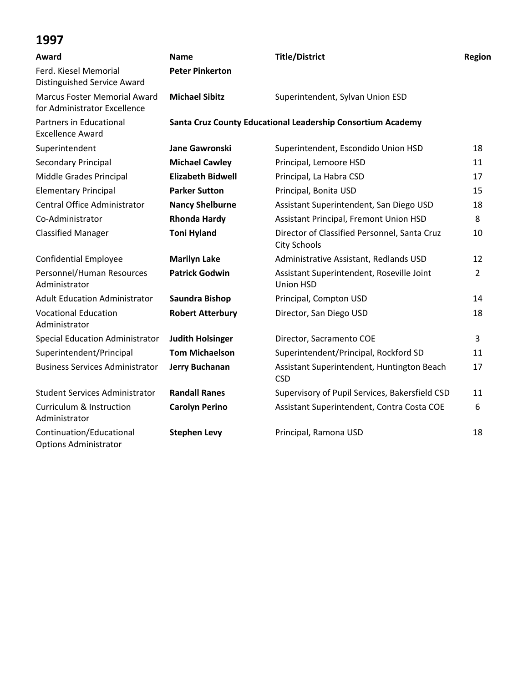| Award                                                               | <b>Name</b>              | <b>Title/District</b>                                               | Region         |
|---------------------------------------------------------------------|--------------------------|---------------------------------------------------------------------|----------------|
| Ferd. Kiesel Memorial<br>Distinguished Service Award                | <b>Peter Pinkerton</b>   |                                                                     |                |
| <b>Marcus Foster Memorial Award</b><br>for Administrator Excellence | <b>Michael Sibitz</b>    | Superintendent, Sylvan Union ESD                                    |                |
| Partners in Educational<br><b>Excellence Award</b>                  |                          | Santa Cruz County Educational Leadership Consortium Academy         |                |
| Superintendent                                                      | <b>Jane Gawronski</b>    | Superintendent, Escondido Union HSD                                 | 18             |
| Secondary Principal                                                 | <b>Michael Cawley</b>    | Principal, Lemoore HSD                                              | 11             |
| Middle Grades Principal                                             | <b>Elizabeth Bidwell</b> | Principal, La Habra CSD                                             | 17             |
| <b>Elementary Principal</b>                                         | <b>Parker Sutton</b>     | Principal, Bonita USD                                               | 15             |
| Central Office Administrator                                        | <b>Nancy Shelburne</b>   | Assistant Superintendent, San Diego USD                             | 18             |
| Co-Administrator                                                    | <b>Rhonda Hardy</b>      | Assistant Principal, Fremont Union HSD                              | 8              |
| <b>Classified Manager</b>                                           | <b>Toni Hyland</b>       | Director of Classified Personnel, Santa Cruz<br><b>City Schools</b> | 10             |
| <b>Confidential Employee</b>                                        | <b>Marilyn Lake</b>      | Administrative Assistant, Redlands USD                              | 12             |
| Personnel/Human Resources<br>Administrator                          | <b>Patrick Godwin</b>    | Assistant Superintendent, Roseville Joint<br><b>Union HSD</b>       | $\overline{2}$ |
| <b>Adult Education Administrator</b>                                | Saundra Bishop           | Principal, Compton USD                                              | 14             |
| <b>Vocational Education</b><br>Administrator                        | <b>Robert Atterbury</b>  | Director, San Diego USD                                             | 18             |
| Special Education Administrator                                     | <b>Judith Holsinger</b>  | Director, Sacramento COE                                            | $\overline{3}$ |
| Superintendent/Principal                                            | <b>Tom Michaelson</b>    | Superintendent/Principal, Rockford SD                               | 11             |
| <b>Business Services Administrator</b>                              | <b>Jerry Buchanan</b>    | Assistant Superintendent, Huntington Beach<br><b>CSD</b>            | 17             |
| <b>Student Services Administrator</b>                               | <b>Randall Ranes</b>     | Supervisory of Pupil Services, Bakersfield CSD                      | 11             |
| Curriculum & Instruction<br>Administrator                           | <b>Carolyn Perino</b>    | Assistant Superintendent, Contra Costa COE                          | 6              |
| Continuation/Educational<br><b>Options Administrator</b>            | <b>Stephen Levy</b>      | Principal, Ramona USD                                               | 18             |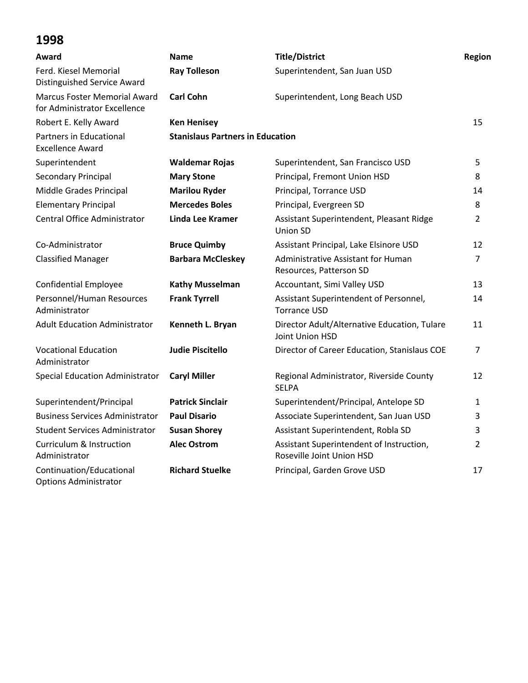| Award                                                               | <b>Name</b>                             | <b>Title/District</b>                                                 | Region         |
|---------------------------------------------------------------------|-----------------------------------------|-----------------------------------------------------------------------|----------------|
| Ferd. Kiesel Memorial<br><b>Distinguished Service Award</b>         | <b>Ray Tolleson</b>                     | Superintendent, San Juan USD                                          |                |
| <b>Marcus Foster Memorial Award</b><br>for Administrator Excellence | <b>Carl Cohn</b>                        | Superintendent, Long Beach USD                                        |                |
| Robert E. Kelly Award                                               | <b>Ken Henisey</b>                      |                                                                       | 15             |
| Partners in Educational<br><b>Excellence Award</b>                  | <b>Stanislaus Partners in Education</b> |                                                                       |                |
| Superintendent                                                      | <b>Waldemar Rojas</b>                   | Superintendent, San Francisco USD                                     | 5              |
| Secondary Principal                                                 | <b>Mary Stone</b>                       | Principal, Fremont Union HSD                                          | 8              |
| Middle Grades Principal                                             | <b>Marilou Ryder</b>                    | Principal, Torrance USD                                               | 14             |
| <b>Elementary Principal</b>                                         | <b>Mercedes Boles</b>                   | Principal, Evergreen SD                                               | 8              |
| Central Office Administrator                                        | <b>Linda Lee Kramer</b>                 | Assistant Superintendent, Pleasant Ridge<br>Union SD                  | $\overline{2}$ |
| Co-Administrator                                                    | <b>Bruce Quimby</b>                     | Assistant Principal, Lake Elsinore USD                                | 12             |
| <b>Classified Manager</b>                                           | <b>Barbara McCleskey</b>                | Administrative Assistant for Human<br>Resources, Patterson SD         | $\overline{7}$ |
| <b>Confidential Employee</b>                                        | <b>Kathy Musselman</b>                  | Accountant, Simi Valley USD                                           | 13             |
| Personnel/Human Resources<br>Administrator                          | <b>Frank Tyrrell</b>                    | Assistant Superintendent of Personnel,<br><b>Torrance USD</b>         | 14             |
| <b>Adult Education Administrator</b>                                | Kenneth L. Bryan                        | Director Adult/Alternative Education, Tulare<br>Joint Union HSD       | 11             |
| <b>Vocational Education</b><br>Administrator                        | <b>Judie Piscitello</b>                 | Director of Career Education, Stanislaus COE                          | $\overline{7}$ |
| <b>Special Education Administrator</b>                              | <b>Caryl Miller</b>                     | Regional Administrator, Riverside County<br><b>SELPA</b>              | 12             |
| Superintendent/Principal                                            | <b>Patrick Sinclair</b>                 | Superintendent/Principal, Antelope SD                                 | 1              |
| <b>Business Services Administrator</b>                              | <b>Paul Disario</b>                     | Associate Superintendent, San Juan USD                                | 3              |
| <b>Student Services Administrator</b>                               | <b>Susan Shorey</b>                     | Assistant Superintendent, Robla SD                                    | 3              |
| <b>Curriculum &amp; Instruction</b><br>Administrator                | <b>Alec Ostrom</b>                      | Assistant Superintendent of Instruction,<br>Roseville Joint Union HSD | $\overline{2}$ |
| Continuation/Educational<br><b>Options Administrator</b>            | <b>Richard Stuelke</b>                  | Principal, Garden Grove USD                                           | 17             |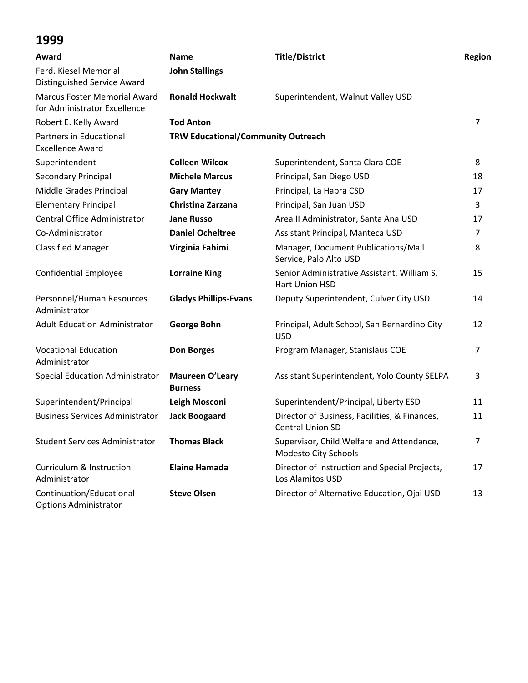| Award                                                               | <b>Name</b>                               | <b>Title/District</b>                                                    | Region         |
|---------------------------------------------------------------------|-------------------------------------------|--------------------------------------------------------------------------|----------------|
| Ferd. Kiesel Memorial<br>Distinguished Service Award                | <b>John Stallings</b>                     |                                                                          |                |
| <b>Marcus Foster Memorial Award</b><br>for Administrator Excellence | <b>Ronald Hockwalt</b>                    | Superintendent, Walnut Valley USD                                        |                |
| Robert E. Kelly Award                                               | <b>Tod Anton</b>                          |                                                                          | $\overline{7}$ |
| Partners in Educational<br><b>Excellence Award</b>                  | <b>TRW Educational/Community Outreach</b> |                                                                          |                |
| Superintendent                                                      | <b>Colleen Wilcox</b>                     | Superintendent, Santa Clara COE                                          | 8              |
| Secondary Principal                                                 | <b>Michele Marcus</b>                     | Principal, San Diego USD                                                 | 18             |
| Middle Grades Principal                                             | <b>Gary Mantey</b>                        | Principal, La Habra CSD                                                  | 17             |
| <b>Elementary Principal</b>                                         | Christina Zarzana                         | Principal, San Juan USD                                                  | 3              |
| Central Office Administrator                                        | <b>Jane Russo</b>                         | Area II Administrator, Santa Ana USD                                     | 17             |
| Co-Administrator                                                    | <b>Daniel Ocheltree</b>                   | Assistant Principal, Manteca USD                                         | 7              |
| <b>Classified Manager</b>                                           | Virginia Fahimi                           | Manager, Document Publications/Mail<br>Service, Palo Alto USD            | 8              |
| <b>Confidential Employee</b>                                        | <b>Lorraine King</b>                      | Senior Administrative Assistant, William S.<br>Hart Union HSD            | 15             |
| Personnel/Human Resources<br>Administrator                          | <b>Gladys Phillips-Evans</b>              | Deputy Superintendent, Culver City USD                                   | 14             |
| <b>Adult Education Administrator</b>                                | <b>George Bohn</b>                        | Principal, Adult School, San Bernardino City<br><b>USD</b>               | 12             |
| <b>Vocational Education</b><br>Administrator                        | <b>Don Borges</b>                         | Program Manager, Stanislaus COE                                          | $\overline{7}$ |
| <b>Special Education Administrator</b>                              | <b>Maureen O'Leary</b><br><b>Burness</b>  | Assistant Superintendent, Yolo County SELPA                              | 3              |
| Superintendent/Principal                                            | Leigh Mosconi                             | Superintendent/Principal, Liberty ESD                                    | 11             |
| <b>Business Services Administrator</b>                              | <b>Jack Boogaard</b>                      | Director of Business, Facilities, & Finances,<br><b>Central Union SD</b> | 11             |
| <b>Student Services Administrator</b>                               | <b>Thomas Black</b>                       | Supervisor, Child Welfare and Attendance,<br>Modesto City Schools        | 7              |
| Curriculum & Instruction<br>Administrator                           | <b>Elaine Hamada</b>                      | Director of Instruction and Special Projects,<br>Los Alamitos USD        | 17             |
| Continuation/Educational<br><b>Options Administrator</b>            | <b>Steve Olsen</b>                        | Director of Alternative Education, Ojai USD                              | 13             |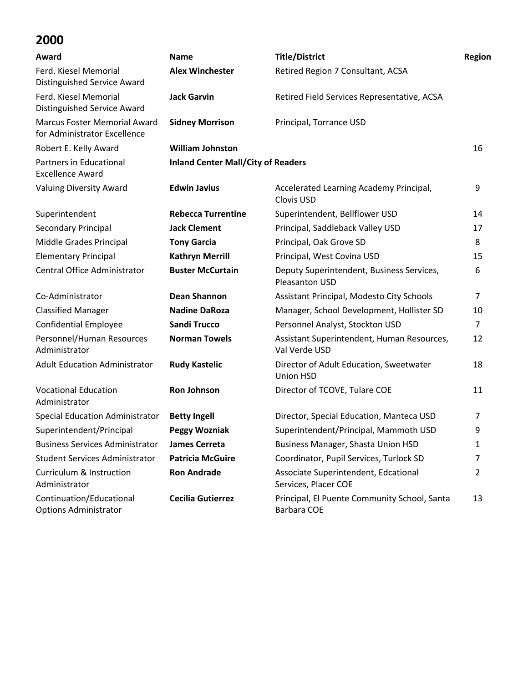| Award                                                               | <b>Name</b>                               | <b>Title/District</b>                                        | Region |
|---------------------------------------------------------------------|-------------------------------------------|--------------------------------------------------------------|--------|
| Ferd. Kiesel Memorial<br>Distinguished Service Award                | <b>Alex Winchester</b>                    | Retired Region 7 Consultant, ACSA                            |        |
| Ferd. Kiesel Memorial<br>Distinguished Service Award                | <b>Jack Garvin</b>                        | Retired Field Services Representative, ACSA                  |        |
| <b>Marcus Foster Memorial Award</b><br>for Administrator Excellence | <b>Sidney Morrison</b>                    | Principal, Torrance USD                                      |        |
| Robert E. Kelly Award                                               | <b>William Johnston</b>                   |                                                              | 16     |
| Partners in Educational<br><b>Excellence Award</b>                  | <b>Inland Center Mall/City of Readers</b> |                                                              |        |
| <b>Valuing Diversity Award</b>                                      | <b>Edwin Javius</b>                       | Accelerated Learning Academy Principal,<br>Clovis USD        | 9      |
| Superintendent                                                      | <b>Rebecca Turrentine</b>                 | Superintendent, Bellflower USD                               | 14     |
| Secondary Principal                                                 | <b>Jack Clement</b>                       | Principal, Saddleback Valley USD                             | 17     |
| Middle Grades Principal                                             | <b>Tony Garcia</b>                        | Principal, Oak Grove SD                                      | 8      |
| <b>Elementary Principal</b>                                         | <b>Kathryn Merrill</b>                    | Principal, West Covina USD                                   | 15     |
| Central Office Administrator                                        | <b>Buster McCurtain</b>                   | Deputy Superintendent, Business Services,<br>Pleasanton USD  | 6      |
| Co-Administrator                                                    | <b>Dean Shannon</b>                       | Assistant Principal, Modesto City Schools                    | 7      |
| <b>Classified Manager</b>                                           | <b>Nadine DaRoza</b>                      | Manager, School Development, Hollister SD                    | 10     |
| <b>Confidential Employee</b>                                        | <b>Sandi Trucco</b>                       | Personnel Analyst, Stockton USD                              | 7      |
| Personnel/Human Resources<br>Administrator                          | <b>Norman Towels</b>                      | Assistant Superintendent, Human Resources,<br>Val Verde USD  | 12     |
| <b>Adult Education Administrator</b>                                | <b>Rudy Kastelic</b>                      | Director of Adult Education, Sweetwater<br>Union HSD         | 18     |
| <b>Vocational Education</b><br>Administrator                        | <b>Ron Johnson</b>                        | Director of TCOVE, Tulare COE                                | 11     |
| <b>Special Education Administrator</b>                              | <b>Betty Ingell</b>                       | Director, Special Education, Manteca USD                     | 7      |
| Superintendent/Principal                                            | <b>Peggy Wozniak</b>                      | Superintendent/Principal, Mammoth USD                        | 9      |
| <b>Business Services Administrator</b>                              | <b>James Cerreta</b>                      | Business Manager, Shasta Union HSD                           | 1      |
| <b>Student Services Administrator</b>                               | <b>Patricia McGuire</b>                   | Coordinator, Pupil Services, Turlock SD                      | 7      |
| Curriculum & Instruction<br>Administrator                           | <b>Ron Andrade</b>                        | Associate Superintendent, Edcational<br>Services, Placer COE | 2      |
| Continuation/Educational<br><b>Options Administrator</b>            | <b>Cecilia Gutierrez</b>                  | Principal, El Puente Community School, Santa<br>Barbara COE  | 13     |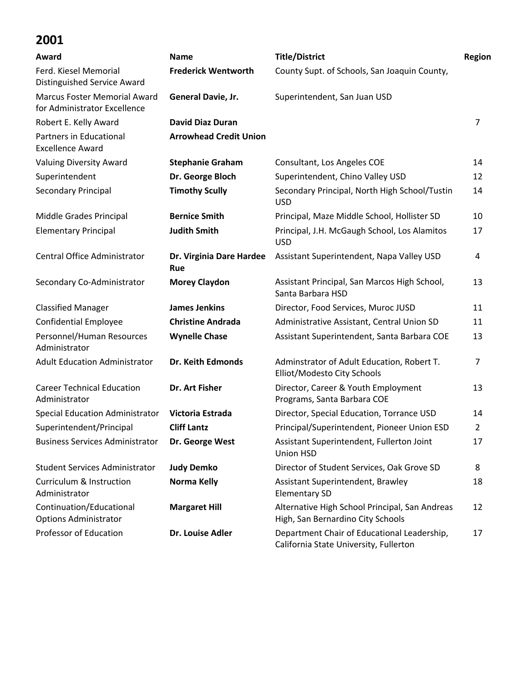| Award                                                               | <b>Name</b>                     | <b>Title/District</b>                                                                 | Region         |
|---------------------------------------------------------------------|---------------------------------|---------------------------------------------------------------------------------------|----------------|
| Ferd. Kiesel Memorial<br>Distinguished Service Award                | <b>Frederick Wentworth</b>      | County Supt. of Schools, San Joaquin County,                                          |                |
| <b>Marcus Foster Memorial Award</b><br>for Administrator Excellence | General Davie, Jr.              | Superintendent, San Juan USD                                                          |                |
| Robert E. Kelly Award                                               | <b>David Diaz Duran</b>         |                                                                                       | $\overline{7}$ |
| Partners in Educational<br><b>Excellence Award</b>                  | <b>Arrowhead Credit Union</b>   |                                                                                       |                |
| <b>Valuing Diversity Award</b>                                      | <b>Stephanie Graham</b>         | Consultant, Los Angeles COE                                                           | 14             |
| Superintendent                                                      | Dr. George Bloch                | Superintendent, Chino Valley USD                                                      | 12             |
| Secondary Principal                                                 | <b>Timothy Scully</b>           | Secondary Principal, North High School/Tustin<br><b>USD</b>                           | 14             |
| Middle Grades Principal                                             | <b>Bernice Smith</b>            | Principal, Maze Middle School, Hollister SD                                           | 10             |
| <b>Elementary Principal</b>                                         | <b>Judith Smith</b>             | Principal, J.H. McGaugh School, Los Alamitos<br><b>USD</b>                            | 17             |
| Central Office Administrator                                        | Dr. Virginia Dare Hardee<br>Rue | Assistant Superintendent, Napa Valley USD                                             | 4              |
| Secondary Co-Administrator                                          | <b>Morey Claydon</b>            | Assistant Principal, San Marcos High School,<br>Santa Barbara HSD                     | 13             |
| <b>Classified Manager</b>                                           | <b>James Jenkins</b>            | Director, Food Services, Muroc JUSD                                                   | 11             |
| <b>Confidential Employee</b>                                        | <b>Christine Andrada</b>        | Administrative Assistant, Central Union SD                                            | 11             |
| Personnel/Human Resources<br>Administrator                          | <b>Wynelle Chase</b>            | Assistant Superintendent, Santa Barbara COE                                           | 13             |
| <b>Adult Education Administrator</b>                                | Dr. Keith Edmonds               | Adminstrator of Adult Education, Robert T.<br>Elliot/Modesto City Schools             | 7              |
| <b>Career Technical Education</b><br>Administrator                  | Dr. Art Fisher                  | Director, Career & Youth Employment<br>Programs, Santa Barbara COE                    | 13             |
| <b>Special Education Administrator</b>                              | Victoria Estrada                | Director, Special Education, Torrance USD                                             | 14             |
| Superintendent/Principal                                            | <b>Cliff Lantz</b>              | Principal/Superintendent, Pioneer Union ESD                                           | $\overline{2}$ |
| <b>Business Services Administrator</b>                              | Dr. George West                 | Assistant Superintendent, Fullerton Joint<br><b>Union HSD</b>                         | 17             |
| <b>Student Services Administrator</b>                               | <b>Judy Demko</b>               | Director of Student Services, Oak Grove SD                                            | 8              |
| <b>Curriculum &amp; Instruction</b><br>Administrator                | Norma Kelly                     | Assistant Superintendent, Brawley<br><b>Elementary SD</b>                             | 18             |
| Continuation/Educational<br><b>Options Administrator</b>            | <b>Margaret Hill</b>            | Alternative High School Principal, San Andreas<br>High, San Bernardino City Schools   | 12             |
| Professor of Education                                              | Dr. Louise Adler                | Department Chair of Educational Leadership,<br>California State University, Fullerton | 17             |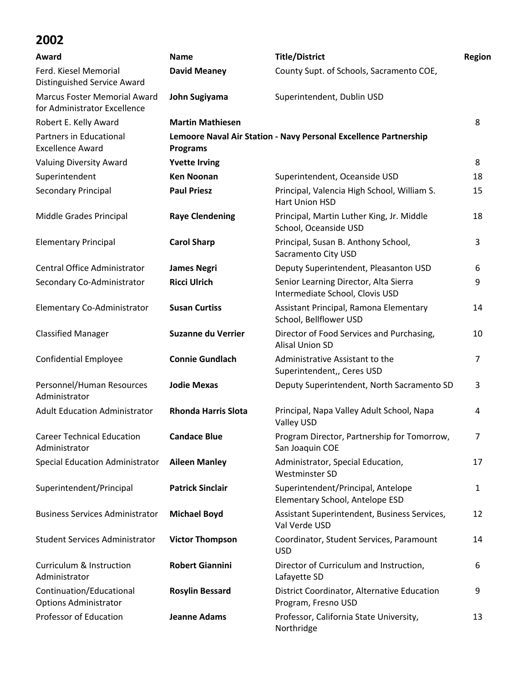| Award                                                               | <b>Name</b>                | <b>Title/District</b>                                                    | <b>Region</b>  |
|---------------------------------------------------------------------|----------------------------|--------------------------------------------------------------------------|----------------|
| Ferd. Kiesel Memorial<br>Distinguished Service Award                | <b>David Meaney</b>        | County Supt. of Schools, Sacramento COE,                                 |                |
| <b>Marcus Foster Memorial Award</b><br>for Administrator Excellence | John Sugiyama              | Superintendent, Dublin USD                                               |                |
| Robert E. Kelly Award                                               | <b>Martin Mathiesen</b>    |                                                                          | 8              |
| Partners in Educational<br><b>Excellence Award</b>                  | <b>Programs</b>            | Lemoore Naval Air Station - Navy Personal Excellence Partnership         |                |
| Valuing Diversity Award                                             | <b>Yvette Irving</b>       |                                                                          | 8              |
| Superintendent                                                      | <b>Ken Noonan</b>          | Superintendent, Oceanside USD                                            | 18             |
| Secondary Principal                                                 | <b>Paul Priesz</b>         | Principal, Valencia High School, William S.<br>Hart Union HSD            | 15             |
| Middle Grades Principal                                             | <b>Raye Clendening</b>     | Principal, Martin Luther King, Jr. Middle<br>School, Oceanside USD       | 18             |
| <b>Elementary Principal</b>                                         | <b>Carol Sharp</b>         | Principal, Susan B. Anthony School,<br>Sacramento City USD               | 3              |
| Central Office Administrator                                        | <b>James Negri</b>         | Deputy Superintendent, Pleasanton USD                                    | 6              |
| Secondary Co-Administrator                                          | <b>Ricci Ulrich</b>        | Senior Learning Director, Alta Sierra<br>Intermediate School, Clovis USD | 9              |
| Elementary Co-Administrator                                         | <b>Susan Curtiss</b>       | Assistant Principal, Ramona Elementary<br>School, Bellflower USD         | 14             |
| <b>Classified Manager</b>                                           | <b>Suzanne du Verrier</b>  | Director of Food Services and Purchasing,<br><b>Alisal Union SD</b>      | 10             |
| <b>Confidential Employee</b>                                        | <b>Connie Gundlach</b>     | Administrative Assistant to the<br>Superintendent,, Ceres USD            | $\overline{7}$ |
| Personnel/Human Resources<br>Administrator                          | <b>Jodie Mexas</b>         | Deputy Superintendent, North Sacramento SD                               | 3              |
| <b>Adult Education Administrator</b>                                | <b>Rhonda Harris Slota</b> | Principal, Napa Valley Adult School, Napa<br>Valley USD                  | 4              |
| <b>Career Technical Education</b><br>Administrator                  | <b>Candace Blue</b>        | Program Director, Partnership for Tomorrow,<br>San Joaquin COE           |                |
| Special Education Administrator                                     | <b>Aileen Manley</b>       | Administrator, Special Education,<br><b>Westminster SD</b>               | 17             |
| Superintendent/Principal                                            | <b>Patrick Sinclair</b>    | Superintendent/Principal, Antelope<br>Elementary School, Antelope ESD    | 1              |
| <b>Business Services Administrator</b>                              | <b>Michael Boyd</b>        | Assistant Superintendent, Business Services,<br>Val Verde USD            | 12             |
| <b>Student Services Administrator</b>                               | <b>Victor Thompson</b>     | Coordinator, Student Services, Paramount<br><b>USD</b>                   | 14             |
| <b>Curriculum &amp; Instruction</b><br>Administrator                | <b>Robert Giannini</b>     | Director of Curriculum and Instruction,<br>Lafayette SD                  | 6              |
| Continuation/Educational<br><b>Options Administrator</b>            | <b>Rosylin Bessard</b>     | District Coordinator, Alternative Education<br>Program, Fresno USD       | 9              |
| <b>Professor of Education</b>                                       | <b>Jeanne Adams</b>        | Professor, California State University,<br>Northridge                    | 13             |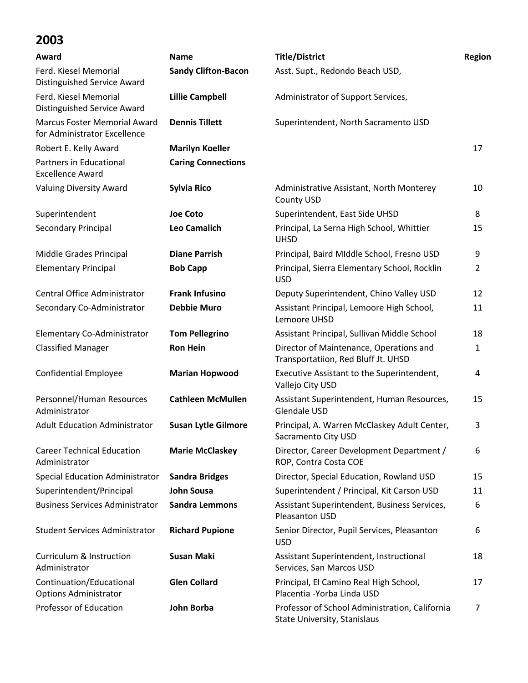| Award                                                               | <b>Name</b>                | <b>Title/District</b>                                                          | Region       |
|---------------------------------------------------------------------|----------------------------|--------------------------------------------------------------------------------|--------------|
| Ferd. Kiesel Memorial<br>Distinguished Service Award                | <b>Sandy Clifton-Bacon</b> | Asst. Supt., Redondo Beach USD,                                                |              |
| Ferd. Kiesel Memorial<br>Distinguished Service Award                | <b>Lillie Campbell</b>     | Administrator of Support Services,                                             |              |
| <b>Marcus Foster Memorial Award</b><br>for Administrator Excellence | <b>Dennis Tillett</b>      | Superintendent, North Sacramento USD                                           |              |
| Robert E. Kelly Award                                               | <b>Marilyn Koeller</b>     |                                                                                | 17           |
| Partners in Educational<br><b>Excellence Award</b>                  | <b>Caring Connections</b>  |                                                                                |              |
| <b>Valuing Diversity Award</b>                                      | <b>Sylvia Rico</b>         | Administrative Assistant, North Monterey<br><b>County USD</b>                  | 10           |
| Superintendent                                                      | <b>Joe Coto</b>            | Superintendent, East Side UHSD                                                 | 8            |
| Secondary Principal                                                 | <b>Leo Camalich</b>        | Principal, La Serna High School, Whittier<br><b>UHSD</b>                       | 15           |
| Middle Grades Principal                                             | <b>Diane Parrish</b>       | Principal, Baird MIddle School, Fresno USD                                     | 9            |
| <b>Elementary Principal</b>                                         | <b>Bob Capp</b>            | Principal, Sierra Elementary School, Rocklin<br><b>USD</b>                     | 2            |
| Central Office Administrator                                        | <b>Frank Infusino</b>      | Deputy Superintendent, Chino Valley USD                                        | 12           |
| Secondary Co-Administrator                                          | <b>Debbie Muro</b>         | Assistant Principal, Lemoore High School,<br>Lemoore UHSD                      | 11           |
| Elementary Co-Administrator                                         | <b>Tom Pellegrino</b>      | Assistant Principal, Sullivan Middle School                                    | 18           |
| <b>Classified Manager</b>                                           | <b>Ron Hein</b>            | Director of Maintenance, Operations and<br>Transportatiion, Red Bluff Jt. UHSD | $\mathbf{1}$ |
| <b>Confidential Employee</b>                                        | <b>Marian Hopwood</b>      | Executive Assistant to the Superintendent,<br>Vallejo City USD                 | 4            |
| Personnel/Human Resources<br>Administrator                          | <b>Cathleen McMullen</b>   | Assistant Superintendent, Human Resources,<br>Glendale USD                     | 15           |
| <b>Adult Education Administrator</b>                                | <b>Susan Lytle Gilmore</b> | Principal, A. Warren McClaskey Adult Center,<br>Sacramento City USD            | 3            |
| <b>Career Technical Education</b><br>Administrator                  | <b>Marie McClaskey</b>     | Director, Career Development Department /<br>ROP, Contra Costa COE             | 6            |
| <b>Special Education Administrator</b>                              | <b>Sandra Bridges</b>      | Director, Special Education, Rowland USD                                       | 15           |
| Superintendent/Principal                                            | <b>John Sousa</b>          | Superintendent / Principal, Kit Carson USD                                     | 11           |
| <b>Business Services Administrator</b>                              | <b>Sandra Lemmons</b>      | Assistant Superintendent, Business Services,<br>Pleasanton USD                 | 6            |
| <b>Student Services Administrator</b>                               | <b>Richard Pupione</b>     | Senior Director, Pupil Services, Pleasanton<br><b>USD</b>                      | 6            |
| <b>Curriculum &amp; Instruction</b><br>Administrator                | <b>Susan Maki</b>          | Assistant Superintendent, Instructional<br>Services, San Marcos USD            | 18           |
| Continuation/Educational<br><b>Options Administrator</b>            | <b>Glen Collard</b>        | Principal, El Camino Real High School,<br>Placentia - Yorba Linda USD          | 17           |
| Professor of Education                                              | John Borba                 | Professor of School Administration, California<br>State University, Stanislaus | 7            |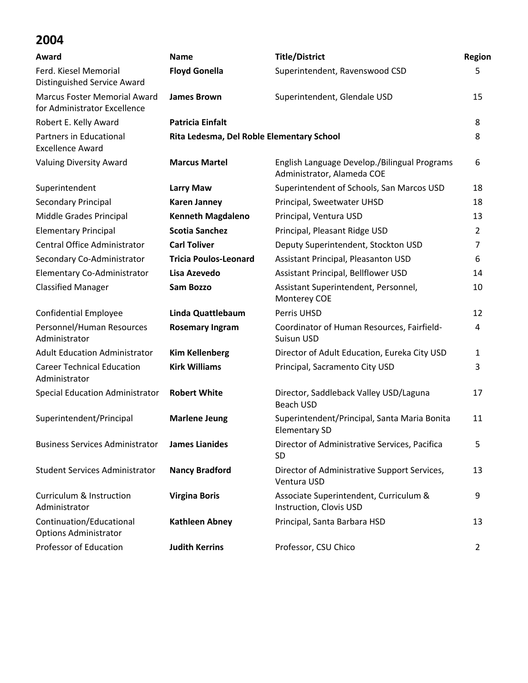| Award                                                               | <b>Name</b>                  | <b>Title/District</b>                                                      | Region         |
|---------------------------------------------------------------------|------------------------------|----------------------------------------------------------------------------|----------------|
| Ferd. Kiesel Memorial                                               | <b>Floyd Gonella</b>         | Superintendent, Ravenswood CSD                                             | 5              |
| <b>Distinguished Service Award</b>                                  |                              |                                                                            |                |
| <b>Marcus Foster Memorial Award</b><br>for Administrator Excellence | <b>James Brown</b>           | Superintendent, Glendale USD                                               | 15             |
| Robert E. Kelly Award                                               | <b>Patricia Einfalt</b>      |                                                                            | 8              |
| Partners in Educational<br><b>Excellence Award</b>                  |                              | Rita Ledesma, Del Roble Elementary School                                  |                |
| <b>Valuing Diversity Award</b>                                      | <b>Marcus Martel</b>         | English Language Develop./Bilingual Programs<br>Administrator, Alameda COE | 6              |
| Superintendent                                                      | <b>Larry Maw</b>             | Superintendent of Schools, San Marcos USD                                  | 18             |
| Secondary Principal                                                 | <b>Karen Janney</b>          | Principal, Sweetwater UHSD                                                 | 18             |
| Middle Grades Principal                                             | <b>Kenneth Magdaleno</b>     | Principal, Ventura USD                                                     | 13             |
| <b>Elementary Principal</b>                                         | <b>Scotia Sanchez</b>        | Principal, Pleasant Ridge USD                                              | $\overline{2}$ |
| Central Office Administrator                                        | <b>Carl Toliver</b>          | Deputy Superintendent, Stockton USD                                        | 7              |
| Secondary Co-Administrator                                          | <b>Tricia Poulos-Leonard</b> | Assistant Principal, Pleasanton USD                                        | 6              |
| Elementary Co-Administrator                                         | Lisa Azevedo                 | Assistant Principal, Bellflower USD                                        | 14             |
| <b>Classified Manager</b>                                           | <b>Sam Bozzo</b>             | Assistant Superintendent, Personnel,<br>Monterey COE                       | 10             |
| <b>Confidential Employee</b>                                        | Linda Quattlebaum            | Perris UHSD                                                                | 12             |
| Personnel/Human Resources<br>Administrator                          | <b>Rosemary Ingram</b>       | Coordinator of Human Resources, Fairfield-<br>Suisun USD                   | 4              |
| <b>Adult Education Administrator</b>                                | <b>Kim Kellenberg</b>        | Director of Adult Education, Eureka City USD                               | 1              |
| <b>Career Technical Education</b><br>Administrator                  | <b>Kirk Williams</b>         | Principal, Sacramento City USD                                             | 3              |
| <b>Special Education Administrator</b>                              | <b>Robert White</b>          | Director, Saddleback Valley USD/Laguna<br><b>Beach USD</b>                 | 17             |
| Superintendent/Principal                                            | <b>Marlene Jeung</b>         | Superintendent/Principal, Santa Maria Bonita<br><b>Elementary SD</b>       | 11             |
| <b>Business Services Administrator</b>                              | <b>James Lianides</b>        | Director of Administrative Services, Pacifica<br><b>SD</b>                 | 5              |
| <b>Student Services Administrator</b>                               | <b>Nancy Bradford</b>        | Director of Administrative Support Services,<br>Ventura USD                | 13             |
| <b>Curriculum &amp; Instruction</b><br>Administrator                | <b>Virgina Boris</b>         | Associate Superintendent, Curriculum &<br>Instruction, Clovis USD          | 9              |
| Continuation/Educational<br><b>Options Administrator</b>            | <b>Kathleen Abney</b>        | Principal, Santa Barbara HSD                                               | 13             |
| Professor of Education                                              | <b>Judith Kerrins</b>        | Professor, CSU Chico                                                       | $\overline{2}$ |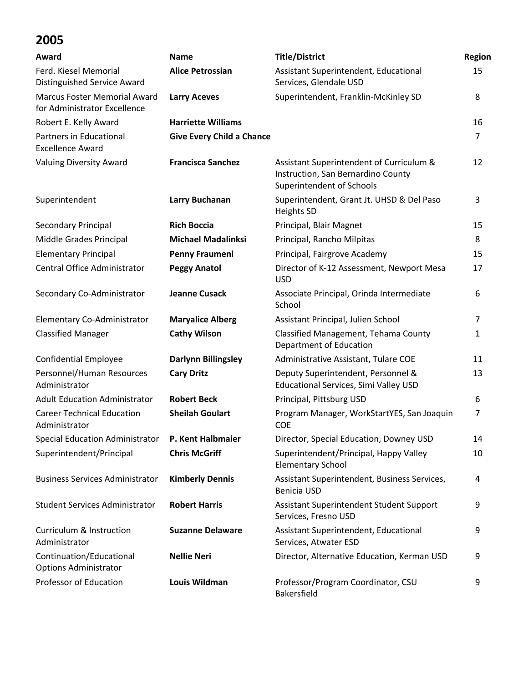| Award                                                               | <b>Name</b>                      | <b>Title/District</b>                                                                                       | Region         |
|---------------------------------------------------------------------|----------------------------------|-------------------------------------------------------------------------------------------------------------|----------------|
| Ferd. Kiesel Memorial<br>Distinguished Service Award                | <b>Alice Petrossian</b>          | Assistant Superintendent, Educational<br>Services, Glendale USD                                             | 15             |
| <b>Marcus Foster Memorial Award</b><br>for Administrator Excellence | <b>Larry Aceves</b>              | Superintendent, Franklin-McKinley SD                                                                        | 8              |
| Robert E. Kelly Award                                               | <b>Harriette Williams</b>        |                                                                                                             | 16             |
| Partners in Educational<br><b>Excellence Award</b>                  | <b>Give Every Child a Chance</b> |                                                                                                             | $\overline{7}$ |
| <b>Valuing Diversity Award</b>                                      | <b>Francisca Sanchez</b>         | Assistant Superintendent of Curriculum &<br>Instruction, San Bernardino County<br>Superintendent of Schools | 12             |
| Superintendent                                                      | Larry Buchanan                   | Superintendent, Grant Jt. UHSD & Del Paso<br><b>Heights SD</b>                                              | 3              |
| Secondary Principal                                                 | <b>Rich Boccia</b>               | Principal, Blair Magnet                                                                                     | 15             |
| Middle Grades Principal                                             | <b>Michael Madalinksi</b>        | Principal, Rancho Milpitas                                                                                  | 8              |
| <b>Elementary Principal</b>                                         | Penny Fraumeni                   | Principal, Fairgrove Academy                                                                                | 15             |
| <b>Central Office Administrator</b>                                 | <b>Peggy Anatol</b>              | Director of K-12 Assessment, Newport Mesa<br><b>USD</b>                                                     | 17             |
| Secondary Co-Administrator                                          | <b>Jeanne Cusack</b>             | Associate Principal, Orinda Intermediate<br>School                                                          | 6              |
| Elementary Co-Administrator                                         | <b>Maryalice Alberg</b>          | Assistant Principal, Julien School                                                                          | $\overline{7}$ |
| <b>Classified Manager</b>                                           | <b>Cathy Wilson</b>              | Classified Management, Tehama County<br>Department of Education                                             | 1              |
| <b>Confidential Employee</b>                                        | <b>Darlynn Billingsley</b>       | Administrative Assistant, Tulare COE                                                                        | 11             |
| Personnel/Human Resources<br>Administrator                          | <b>Cary Dritz</b>                | Deputy Superintendent, Personnel &<br>Educational Services, Simi Valley USD                                 | 13             |
| <b>Adult Education Administrator</b>                                | <b>Robert Beck</b>               | Principal, Pittsburg USD                                                                                    | 6              |
| <b>Career Technical Education</b><br>Administrator                  | <b>Sheilah Goulart</b>           | Program Manager, WorkStartYES, San Joaquin<br><b>COE</b>                                                    | $\overline{7}$ |
| Special Education Administrator P. Kent Halbmaier                   |                                  | Director, Special Education, Downey USD                                                                     | 14             |
| Superintendent/Principal                                            | <b>Chris McGriff</b>             | Superintendent/Principal, Happy Valley<br><b>Elementary School</b>                                          | 10             |
| <b>Business Services Administrator</b>                              | <b>Kimberly Dennis</b>           | Assistant Superintendent, Business Services,<br><b>Benicia USD</b>                                          | 4              |
| <b>Student Services Administrator</b>                               | <b>Robert Harris</b>             | Assistant Superintendent Student Support<br>Services, Fresno USD                                            | 9              |
| Curriculum & Instruction<br>Administrator                           | <b>Suzanne Delaware</b>          | Assistant Superintendent, Educational<br>Services, Atwater ESD                                              | 9              |
| Continuation/Educational<br><b>Options Administrator</b>            | <b>Nellie Neri</b>               | Director, Alternative Education, Kerman USD                                                                 | 9              |
| <b>Professor of Education</b>                                       | Louis Wildman                    | Professor/Program Coordinator, CSU<br>Bakersfield                                                           | 9              |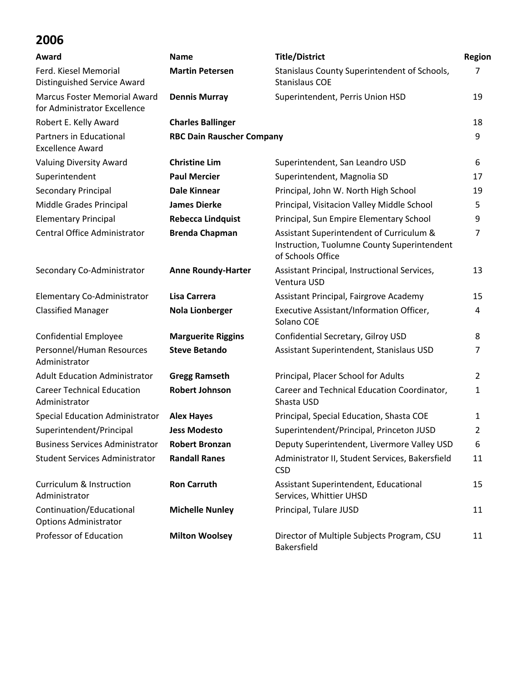| Award                                                               | <b>Name</b>                      | <b>Title/District</b>                                                                                        | Region         |
|---------------------------------------------------------------------|----------------------------------|--------------------------------------------------------------------------------------------------------------|----------------|
| Ferd. Kiesel Memorial<br>Distinguished Service Award                | <b>Martin Petersen</b>           | Stanislaus County Superintendent of Schools,<br><b>Stanislaus COE</b>                                        | 7              |
| <b>Marcus Foster Memorial Award</b><br>for Administrator Excellence | <b>Dennis Murray</b>             | Superintendent, Perris Union HSD                                                                             | 19             |
| Robert E. Kelly Award                                               | <b>Charles Ballinger</b>         |                                                                                                              | 18             |
| Partners in Educational<br><b>Excellence Award</b>                  | <b>RBC Dain Rauscher Company</b> |                                                                                                              | 9              |
| Valuing Diversity Award                                             | <b>Christine Lim</b>             | Superintendent, San Leandro USD                                                                              | 6              |
| Superintendent                                                      | <b>Paul Mercier</b>              | Superintendent, Magnolia SD                                                                                  | 17             |
| Secondary Principal                                                 | Dale Kinnear                     | Principal, John W. North High School                                                                         | 19             |
| Middle Grades Principal                                             | <b>James Dierke</b>              | Principal, Visitacion Valley Middle School                                                                   | 5              |
| <b>Elementary Principal</b>                                         | <b>Rebecca Lindquist</b>         | Principal, Sun Empire Elementary School                                                                      | 9              |
| Central Office Administrator                                        | <b>Brenda Chapman</b>            | Assistant Superintendent of Curriculum &<br>Instruction, Tuolumne County Superintendent<br>of Schools Office | 7              |
| Secondary Co-Administrator                                          | <b>Anne Roundy-Harter</b>        | Assistant Principal, Instructional Services,<br>Ventura USD                                                  | 13             |
| Elementary Co-Administrator                                         | Lisa Carrera                     | Assistant Principal, Fairgrove Academy                                                                       | 15             |
| <b>Classified Manager</b>                                           | <b>Nola Lionberger</b>           | Executive Assistant/Information Officer,<br>Solano COE                                                       | 4              |
| <b>Confidential Employee</b>                                        | <b>Marguerite Riggins</b>        | Confidential Secretary, Gilroy USD                                                                           | 8              |
| Personnel/Human Resources<br>Administrator                          | <b>Steve Betando</b>             | Assistant Superintendent, Stanislaus USD                                                                     | 7              |
| <b>Adult Education Administrator</b>                                | <b>Gregg Ramseth</b>             | Principal, Placer School for Adults                                                                          | 2              |
| <b>Career Technical Education</b><br>Administrator                  | <b>Robert Johnson</b>            | Career and Technical Education Coordinator,<br>Shasta USD                                                    | 1              |
| <b>Special Education Administrator</b>                              | <b>Alex Hayes</b>                | Principal, Special Education, Shasta COE                                                                     | 1              |
| Superintendent/Principal                                            | <b>Jess Modesto</b>              | Superintendent/Principal, Princeton JUSD                                                                     | $\overline{2}$ |
| <b>Business Services Administrator</b>                              | <b>Robert Bronzan</b>            | Deputy Superintendent, Livermore Valley USD                                                                  | 6              |
| <b>Student Services Administrator</b>                               | <b>Randall Ranes</b>             | Administrator II, Student Services, Bakersfield<br><b>CSD</b>                                                | 11             |
| Curriculum & Instruction<br>Administrator                           | <b>Ron Carruth</b>               | Assistant Superintendent, Educational<br>Services, Whittier UHSD                                             | 15             |
| Continuation/Educational<br><b>Options Administrator</b>            | <b>Michelle Nunley</b>           | Principal, Tulare JUSD                                                                                       | 11             |
| <b>Professor of Education</b>                                       | <b>Milton Woolsey</b>            | Director of Multiple Subjects Program, CSU<br>Bakersfield                                                    | 11             |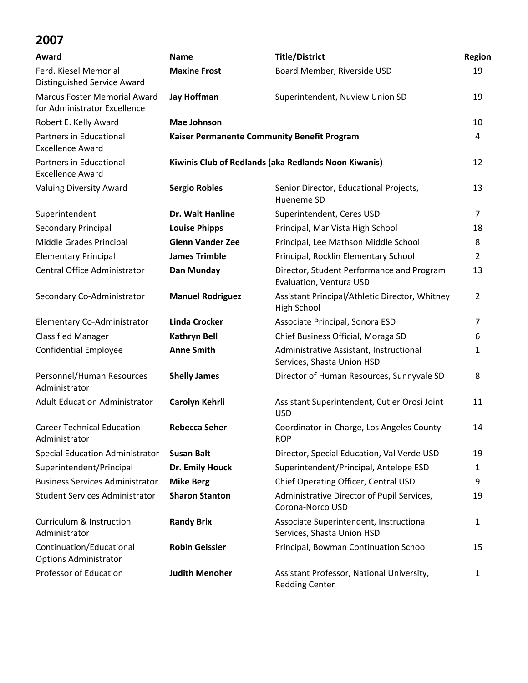| Award                                                               | <b>Name</b>             | <b>Title/District</b>                                                 | Region         |  |
|---------------------------------------------------------------------|-------------------------|-----------------------------------------------------------------------|----------------|--|
| Ferd. Kiesel Memorial<br>Distinguished Service Award                | <b>Maxine Frost</b>     | Board Member, Riverside USD                                           | 19             |  |
| <b>Marcus Foster Memorial Award</b><br>for Administrator Excellence | <b>Jay Hoffman</b>      | Superintendent, Nuview Union SD                                       | 19             |  |
| Robert E. Kelly Award                                               | <b>Mae Johnson</b>      |                                                                       | 10             |  |
| Partners in Educational<br><b>Excellence Award</b>                  |                         | Kaiser Permanente Community Benefit Program                           | 4              |  |
| Partners in Educational<br><b>Excellence Award</b>                  |                         | Kiwinis Club of Redlands (aka Redlands Noon Kiwanis)                  |                |  |
| <b>Valuing Diversity Award</b>                                      | <b>Sergio Robles</b>    | Senior Director, Educational Projects,<br>Hueneme SD                  | 13             |  |
| Superintendent                                                      | Dr. Walt Hanline        | Superintendent, Ceres USD                                             | $\overline{7}$ |  |
| Secondary Principal                                                 | <b>Louise Phipps</b>    | Principal, Mar Vista High School                                      | 18             |  |
| Middle Grades Principal                                             | <b>Glenn Vander Zee</b> | Principal, Lee Mathson Middle School                                  | 8              |  |
| <b>Elementary Principal</b>                                         | <b>James Trimble</b>    | Principal, Rocklin Elementary School                                  | 2              |  |
| Central Office Administrator                                        | Dan Munday              | Director, Student Performance and Program<br>Evaluation, Ventura USD  | 13             |  |
| Secondary Co-Administrator                                          | <b>Manuel Rodriguez</b> | Assistant Principal/Athletic Director, Whitney<br>High School         | $\overline{2}$ |  |
| Elementary Co-Administrator                                         | <b>Linda Crocker</b>    | Associate Principal, Sonora ESD                                       | $\overline{7}$ |  |
| <b>Classified Manager</b>                                           | <b>Kathryn Bell</b>     | Chief Business Official, Moraga SD                                    | 6              |  |
| <b>Confidential Employee</b>                                        | <b>Anne Smith</b>       | Administrative Assistant, Instructional<br>Services, Shasta Union HSD | 1              |  |
| Personnel/Human Resources<br>Administrator                          | <b>Shelly James</b>     | Director of Human Resources, Sunnyvale SD                             | 8              |  |
| <b>Adult Education Administrator</b>                                | Carolyn Kehrli          | Assistant Superintendent, Cutler Orosi Joint<br><b>USD</b>            | 11             |  |
| <b>Career Technical Education</b><br>Administrator                  | <b>Rebecca Seher</b>    | Coordinator-in-Charge, Los Angeles County<br><b>ROP</b>               | 14             |  |
| <b>Special Education Administrator</b>                              | <b>Susan Balt</b>       | Director, Special Education, Val Verde USD                            | 19             |  |
| Superintendent/Principal                                            | Dr. Emily Houck         | Superintendent/Principal, Antelope ESD                                | 1              |  |
| <b>Business Services Administrator</b>                              | <b>Mike Berg</b>        | Chief Operating Officer, Central USD                                  | 9              |  |
| <b>Student Services Administrator</b>                               | <b>Sharon Stanton</b>   | Administrative Director of Pupil Services,<br>Corona-Norco USD        | 19             |  |
| Curriculum & Instruction<br>Administrator                           | <b>Randy Brix</b>       | Associate Superintendent, Instructional<br>Services, Shasta Union HSD | 1              |  |
| Continuation/Educational<br><b>Options Administrator</b>            | <b>Robin Geissler</b>   | Principal, Bowman Continuation School                                 | 15             |  |
| Professor of Education                                              | <b>Judith Menoher</b>   | Assistant Professor, National University,<br><b>Redding Center</b>    | 1              |  |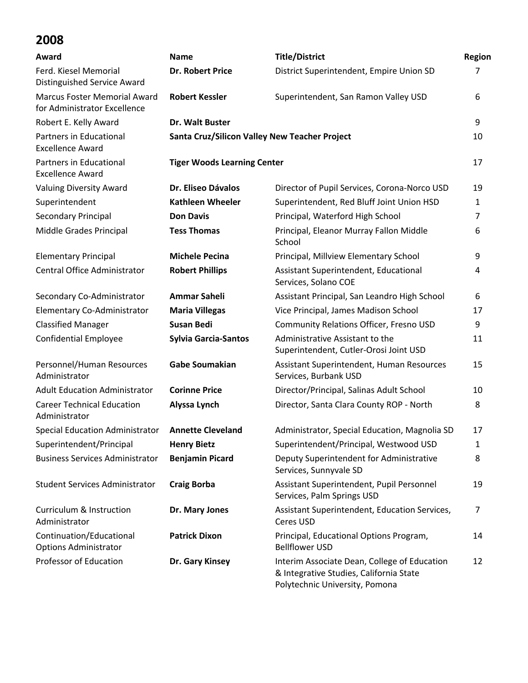| Award                                                               | <b>Name</b>                                          | <b>Title/District</b>                                                                                                     | Region         |
|---------------------------------------------------------------------|------------------------------------------------------|---------------------------------------------------------------------------------------------------------------------------|----------------|
| Ferd. Kiesel Memorial<br>Distinguished Service Award                | <b>Dr. Robert Price</b>                              | District Superintendent, Empire Union SD                                                                                  | 7              |
| <b>Marcus Foster Memorial Award</b><br>for Administrator Excellence | <b>Robert Kessler</b>                                | Superintendent, San Ramon Valley USD                                                                                      | 6              |
| Robert E. Kelly Award                                               | Dr. Walt Buster                                      |                                                                                                                           | 9              |
| Partners in Educational<br><b>Excellence Award</b>                  | <b>Santa Cruz/Silicon Valley New Teacher Project</b> |                                                                                                                           | 10             |
| Partners in Educational<br><b>Excellence Award</b>                  | <b>Tiger Woods Learning Center</b>                   |                                                                                                                           | 17             |
| <b>Valuing Diversity Award</b>                                      | Dr. Eliseo Dávalos                                   | Director of Pupil Services, Corona-Norco USD                                                                              | 19             |
| Superintendent                                                      | <b>Kathleen Wheeler</b>                              | Superintendent, Red Bluff Joint Union HSD                                                                                 | 1              |
| Secondary Principal                                                 | <b>Don Davis</b>                                     | Principal, Waterford High School                                                                                          | 7              |
| Middle Grades Principal                                             | <b>Tess Thomas</b>                                   | Principal, Eleanor Murray Fallon Middle<br>School                                                                         | 6              |
| <b>Elementary Principal</b>                                         | <b>Michele Pecina</b>                                | Principal, Millview Elementary School                                                                                     | 9              |
| <b>Central Office Administrator</b>                                 | <b>Robert Phillips</b>                               | Assistant Superintendent, Educational<br>Services, Solano COE                                                             | 4              |
| Secondary Co-Administrator                                          | <b>Ammar Saheli</b>                                  | Assistant Principal, San Leandro High School                                                                              | 6              |
| Elementary Co-Administrator                                         | <b>Maria Villegas</b>                                | Vice Principal, James Madison School                                                                                      | 17             |
| <b>Classified Manager</b>                                           | <b>Susan Bedi</b>                                    | Community Relations Officer, Fresno USD                                                                                   | 9              |
| <b>Confidential Employee</b>                                        | <b>Sylvia Garcia-Santos</b>                          | Administrative Assistant to the<br>Superintendent, Cutler-Orosi Joint USD                                                 | 11             |
| Personnel/Human Resources<br>Administrator                          | <b>Gabe Soumakian</b>                                | Assistant Superintendent, Human Resources<br>Services, Burbank USD                                                        | 15             |
| <b>Adult Education Administrator</b>                                | <b>Corinne Price</b>                                 | Director/Principal, Salinas Adult School                                                                                  | 10             |
| <b>Career Technical Education</b><br>Administrator                  | Alyssa Lynch                                         | Director, Santa Clara County ROP - North                                                                                  | 8              |
| <b>Special Education Administrator</b>                              | <b>Annette Cleveland</b>                             | Administrator, Special Education, Magnolia SD                                                                             | 17             |
| Superintendent/Principal                                            | <b>Henry Bietz</b>                                   | Superintendent/Principal, Westwood USD                                                                                    | 1              |
| <b>Business Services Administrator</b>                              | <b>Benjamin Picard</b>                               | Deputy Superintendent for Administrative<br>Services, Sunnyvale SD                                                        | 8              |
| <b>Student Services Administrator</b>                               | <b>Craig Borba</b>                                   | Assistant Superintendent, Pupil Personnel<br>Services, Palm Springs USD                                                   | 19             |
| <b>Curriculum &amp; Instruction</b><br>Administrator                | Dr. Mary Jones                                       | Assistant Superintendent, Education Services,<br>Ceres USD                                                                | $\overline{7}$ |
| Continuation/Educational<br><b>Options Administrator</b>            | <b>Patrick Dixon</b>                                 | Principal, Educational Options Program,<br><b>Bellflower USD</b>                                                          | 14             |
| Professor of Education                                              | Dr. Gary Kinsey                                      | Interim Associate Dean, College of Education<br>& Integrative Studies, California State<br>Polytechnic University, Pomona | 12             |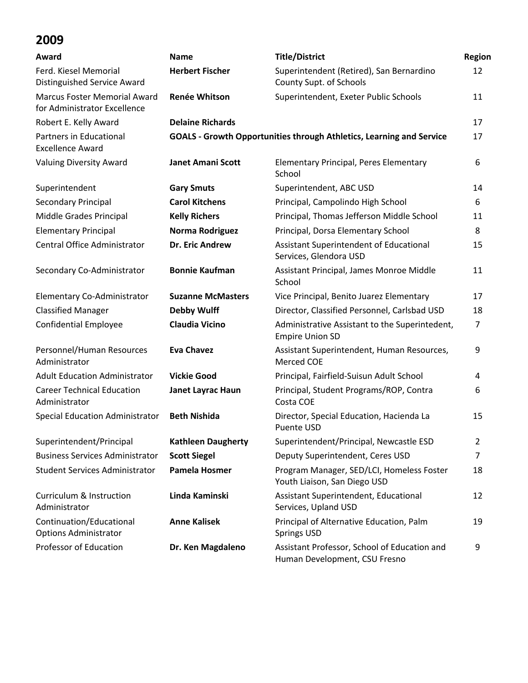| Award                                                               | <b>Name</b>               | <b>Title/District</b>                                                         | Region         |
|---------------------------------------------------------------------|---------------------------|-------------------------------------------------------------------------------|----------------|
| Ferd. Kiesel Memorial<br>Distinguished Service Award                | <b>Herbert Fischer</b>    | Superintendent (Retired), San Bernardino<br>County Supt. of Schools           | 12             |
| <b>Marcus Foster Memorial Award</b><br>for Administrator Excellence | <b>Renée Whitson</b>      | Superintendent, Exeter Public Schools                                         | 11             |
| Robert E. Kelly Award                                               | <b>Delaine Richards</b>   |                                                                               | 17             |
| Partners in Educational<br><b>Excellence Award</b>                  |                           | <b>GOALS - Growth Opportunities through Athletics, Learning and Service</b>   | 17             |
| <b>Valuing Diversity Award</b>                                      | <b>Janet Amani Scott</b>  | <b>Elementary Principal, Peres Elementary</b><br>School                       | 6              |
| Superintendent                                                      | <b>Gary Smuts</b>         | Superintendent, ABC USD                                                       | 14             |
| Secondary Principal                                                 | <b>Carol Kitchens</b>     | Principal, Campolindo High School                                             | 6              |
| Middle Grades Principal                                             | <b>Kelly Richers</b>      | Principal, Thomas Jefferson Middle School                                     | 11             |
| <b>Elementary Principal</b>                                         | Norma Rodriguez           | Principal, Dorsa Elementary School                                            | 8              |
| Central Office Administrator                                        | <b>Dr. Eric Andrew</b>    | Assistant Superintendent of Educational<br>Services, Glendora USD             | 15             |
| Secondary Co-Administrator                                          | <b>Bonnie Kaufman</b>     | Assistant Principal, James Monroe Middle<br>School                            | 11             |
| Elementary Co-Administrator                                         | <b>Suzanne McMasters</b>  | Vice Principal, Benito Juarez Elementary                                      | 17             |
| <b>Classified Manager</b>                                           | <b>Debby Wulff</b>        | Director, Classified Personnel, Carlsbad USD                                  | 18             |
| <b>Confidential Employee</b>                                        | <b>Claudia Vicino</b>     | Administrative Assistant to the Superintedent,<br><b>Empire Union SD</b>      | $\overline{7}$ |
| Personnel/Human Resources<br>Administrator                          | <b>Eva Chavez</b>         | Assistant Superintendent, Human Resources,<br>Merced COE                      | 9              |
| <b>Adult Education Administrator</b>                                | <b>Vickie Good</b>        | Principal, Fairfield-Suisun Adult School                                      | 4              |
| <b>Career Technical Education</b><br>Administrator                  | Janet Layrac Haun         | Principal, Student Programs/ROP, Contra<br>Costa COE                          | 6              |
| <b>Special Education Administrator</b>                              | <b>Beth Nishida</b>       | Director, Special Education, Hacienda La<br>Puente USD                        | 15             |
| Superintendent/Principal                                            | <b>Kathleen Daugherty</b> | Superintendent/Principal, Newcastle ESD                                       | 2              |
| <b>Business Services Administrator</b>                              | <b>Scott Siegel</b>       | Deputy Superintendent, Ceres USD                                              | 7              |
| <b>Student Services Administrator</b>                               | <b>Pamela Hosmer</b>      | Program Manager, SED/LCI, Homeless Foster<br>Youth Liaison, San Diego USD     | 18             |
| <b>Curriculum &amp; Instruction</b><br>Administrator                | Linda Kaminski            | Assistant Superintendent, Educational<br>Services, Upland USD                 | 12             |
| Continuation/Educational<br><b>Options Administrator</b>            | <b>Anne Kalisek</b>       | Principal of Alternative Education, Palm<br><b>Springs USD</b>                | 19             |
| <b>Professor of Education</b>                                       | Dr. Ken Magdaleno         | Assistant Professor, School of Education and<br>Human Development, CSU Fresno | 9              |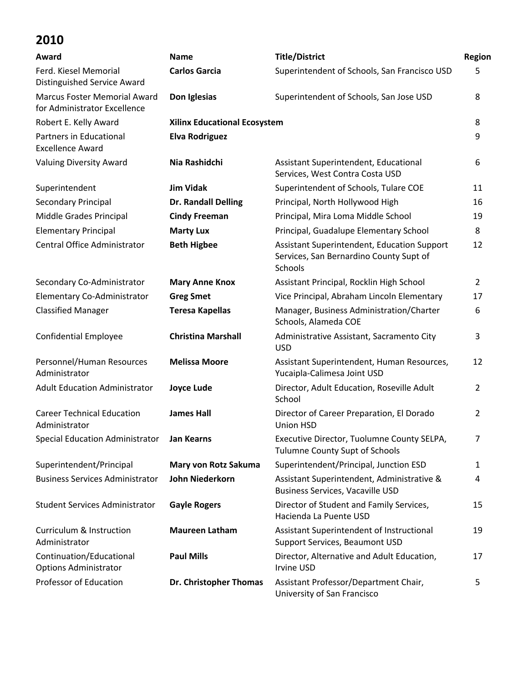| Award                                                        | <b>Name</b>                         | <b>Title/District</b>                                                                             | <b>Region</b>  |
|--------------------------------------------------------------|-------------------------------------|---------------------------------------------------------------------------------------------------|----------------|
| Ferd. Kiesel Memorial<br><b>Distinguished Service Award</b>  | <b>Carlos Garcia</b>                | Superintendent of Schools, San Francisco USD                                                      | 5              |
| Marcus Foster Memorial Award<br>for Administrator Excellence | Don Iglesias                        | Superintendent of Schools, San Jose USD                                                           | 8              |
| Robert E. Kelly Award                                        | <b>Xilinx Educational Ecosystem</b> |                                                                                                   | 8              |
| Partners in Educational<br><b>Excellence Award</b>           | <b>Elva Rodriguez</b>               |                                                                                                   | 9              |
| <b>Valuing Diversity Award</b>                               | Nia Rashidchi                       | Assistant Superintendent, Educational<br>Services, West Contra Costa USD                          | 6              |
| Superintendent                                               | <b>Jim Vidak</b>                    | Superintendent of Schools, Tulare COE                                                             | 11             |
| Secondary Principal                                          | Dr. Randall Delling                 | Principal, North Hollywood High                                                                   | 16             |
| Middle Grades Principal                                      | <b>Cindy Freeman</b>                | Principal, Mira Loma Middle School                                                                | 19             |
| <b>Elementary Principal</b>                                  | <b>Marty Lux</b>                    | Principal, Guadalupe Elementary School                                                            | 8              |
| Central Office Administrator                                 | <b>Beth Higbee</b>                  | Assistant Superintendent, Education Support<br>Services, San Bernardino County Supt of<br>Schools | 12             |
| Secondary Co-Administrator                                   | <b>Mary Anne Knox</b>               | Assistant Principal, Rocklin High School                                                          | $\overline{2}$ |
| Elementary Co-Administrator                                  | <b>Greg Smet</b>                    | Vice Principal, Abraham Lincoln Elementary                                                        | 17             |
| <b>Classified Manager</b>                                    | <b>Teresa Kapellas</b>              | Manager, Business Administration/Charter<br>Schools, Alameda COE                                  | 6              |
| <b>Confidential Employee</b>                                 | <b>Christina Marshall</b>           | Administrative Assistant, Sacramento City<br><b>USD</b>                                           | 3              |
| Personnel/Human Resources<br>Administrator                   | <b>Melissa Moore</b>                | Assistant Superintendent, Human Resources,<br>Yucaipla-Calimesa Joint USD                         | 12             |
| <b>Adult Education Administrator</b>                         | <b>Joyce Lude</b>                   | Director, Adult Education, Roseville Adult<br>School                                              | 2              |
| <b>Career Technical Education</b><br>Administrator           | <b>James Hall</b>                   | Director of Career Preparation, El Dorado<br>Union HSD                                            | $\overline{2}$ |
| <b>Special Education Administrator</b>                       | <b>Jan Kearns</b>                   | Executive Director, Tuolumne County SELPA,<br><b>Tulumne County Supt of Schools</b>               |                |
| Superintendent/Principal                                     | Mary von Rotz Sakuma                | Superintendent/Principal, Junction ESD                                                            | 1              |
| <b>Business Services Administrator</b>                       | John Niederkorn                     | Assistant Superintendent, Administrative &<br><b>Business Services, Vacaville USD</b>             | 4              |
| <b>Student Services Administrator</b>                        | <b>Gayle Rogers</b>                 | Director of Student and Family Services,<br>Hacienda La Puente USD                                | 15             |
| <b>Curriculum &amp; Instruction</b><br>Administrator         | <b>Maureen Latham</b>               | Assistant Superintendent of Instructional<br>Support Services, Beaumont USD                       | 19             |
| Continuation/Educational<br><b>Options Administrator</b>     | <b>Paul Mills</b>                   | Director, Alternative and Adult Education,<br>Irvine USD                                          | 17             |
| Professor of Education                                       | Dr. Christopher Thomas              | Assistant Professor/Department Chair,<br>University of San Francisco                              | 5              |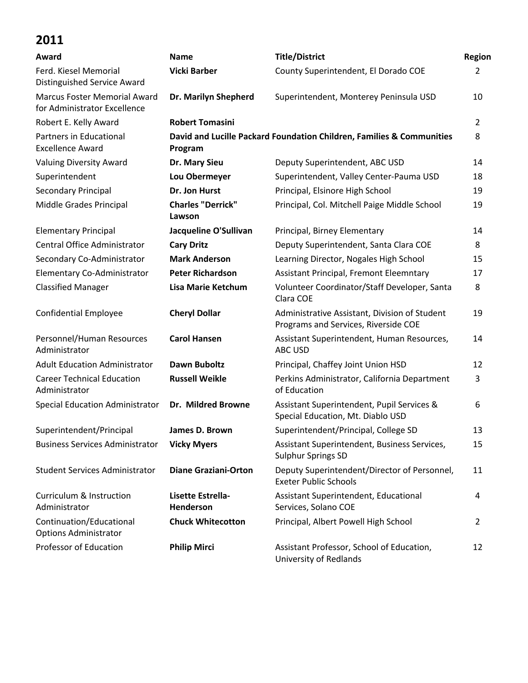| Award                                                               | <b>Name</b>                           | <b>Title/District</b>                                                                 | Region         |
|---------------------------------------------------------------------|---------------------------------------|---------------------------------------------------------------------------------------|----------------|
| Ferd. Kiesel Memorial                                               | <b>Vicki Barber</b>                   | County Superintendent, El Dorado COE                                                  | 2              |
| Distinguished Service Award                                         |                                       |                                                                                       |                |
| <b>Marcus Foster Memorial Award</b><br>for Administrator Excellence | Dr. Marilyn Shepherd                  | Superintendent, Monterey Peninsula USD                                                | 10             |
| Robert E. Kelly Award                                               | <b>Robert Tomasini</b>                |                                                                                       | $\overline{2}$ |
| Partners in Educational<br><b>Excellence Award</b>                  | Program                               | David and Lucille Packard Foundation Children, Families & Communities                 | 8              |
| Valuing Diversity Award                                             | Dr. Mary Sieu                         | Deputy Superintendent, ABC USD                                                        | 14             |
| Superintendent                                                      | Lou Obermeyer                         | Superintendent, Valley Center-Pauma USD                                               | 18             |
| Secondary Principal                                                 | Dr. Jon Hurst                         | Principal, Elsinore High School                                                       | 19             |
| Middle Grades Principal                                             | <b>Charles "Derrick"</b><br>Lawson    | Principal, Col. Mitchell Paige Middle School                                          | 19             |
| <b>Elementary Principal</b>                                         | Jacqueline O'Sullivan                 | Principal, Birney Elementary                                                          | 14             |
| Central Office Administrator                                        | <b>Cary Dritz</b>                     | Deputy Superintendent, Santa Clara COE                                                | 8              |
| Secondary Co-Administrator                                          | <b>Mark Anderson</b>                  | Learning Director, Nogales High School                                                | 15             |
| Elementary Co-Administrator                                         | <b>Peter Richardson</b>               | Assistant Principal, Fremont Eleemntary                                               | 17             |
| <b>Classified Manager</b>                                           | <b>Lisa Marie Ketchum</b>             | Volunteer Coordinator/Staff Developer, Santa<br>Clara COE                             | 8              |
| Confidential Employee                                               | <b>Cheryl Dollar</b>                  | Administrative Assistant, Division of Student<br>Programs and Services, Riverside COE | 19             |
| Personnel/Human Resources<br>Administrator                          | <b>Carol Hansen</b>                   | Assistant Superintendent, Human Resources,<br>ABC USD                                 | 14             |
| <b>Adult Education Administrator</b>                                | <b>Dawn Buboltz</b>                   | Principal, Chaffey Joint Union HSD                                                    | 12             |
| <b>Career Technical Education</b><br>Administrator                  | <b>Russell Weikle</b>                 | Perkins Administrator, California Department<br>of Education                          | 3              |
| Special Education Administrator                                     | Dr. Mildred Browne                    | Assistant Superintendent, Pupil Services &<br>Special Education, Mt. Diablo USD       | 6              |
| Superintendent/Principal                                            | James D. Brown                        | Superintendent/Principal, College SD                                                  | 13             |
| <b>Business Services Administrator</b>                              | <b>Vicky Myers</b>                    | Assistant Superintendent, Business Services,<br><b>Sulphur Springs SD</b>             | 15             |
| <b>Student Services Administrator</b>                               | <b>Diane Graziani-Orton</b>           | Deputy Superintendent/Director of Personnel,<br><b>Exeter Public Schools</b>          | 11             |
| <b>Curriculum &amp; Instruction</b><br>Administrator                | Lisette Estrella-<br><b>Henderson</b> | Assistant Superintendent, Educational<br>Services, Solano COE                         | 4              |
| Continuation/Educational<br><b>Options Administrator</b>            | <b>Chuck Whitecotton</b>              | Principal, Albert Powell High School                                                  | 2              |
| Professor of Education                                              | <b>Philip Mirci</b>                   | Assistant Professor, School of Education,<br>University of Redlands                   | 12             |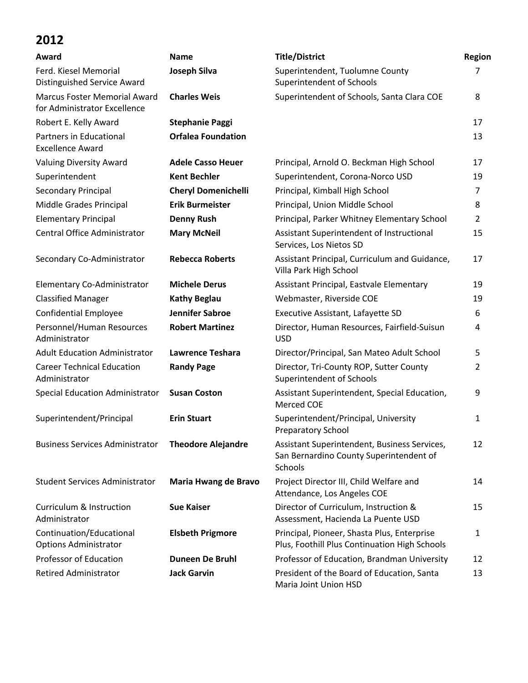| Award                                                               | <b>Name</b>                | <b>Title/District</b>                                                                              | <b>Region</b>  |
|---------------------------------------------------------------------|----------------------------|----------------------------------------------------------------------------------------------------|----------------|
| Ferd. Kiesel Memorial<br><b>Distinguished Service Award</b>         | <b>Joseph Silva</b>        | Superintendent, Tuolumne County<br>Superintendent of Schools                                       | 7              |
| <b>Marcus Foster Memorial Award</b><br>for Administrator Excellence | <b>Charles Weis</b>        | Superintendent of Schools, Santa Clara COE                                                         | 8              |
| Robert E. Kelly Award                                               | <b>Stephanie Paggi</b>     |                                                                                                    | 17             |
| Partners in Educational<br><b>Excellence Award</b>                  | <b>Orfalea Foundation</b>  |                                                                                                    | 13             |
| <b>Valuing Diversity Award</b>                                      | <b>Adele Casso Heuer</b>   | Principal, Arnold O. Beckman High School                                                           | 17             |
| Superintendent                                                      | <b>Kent Bechler</b>        | Superintendent, Corona-Norco USD                                                                   | 19             |
| Secondary Principal                                                 | <b>Cheryl Domenichelli</b> | Principal, Kimball High School                                                                     | 7              |
| Middle Grades Principal                                             | <b>Erik Burmeister</b>     | Principal, Union Middle School                                                                     | 8              |
| <b>Elementary Principal</b>                                         | <b>Denny Rush</b>          | Principal, Parker Whitney Elementary School                                                        | 2              |
| Central Office Administrator                                        | <b>Mary McNeil</b>         | Assistant Superintendent of Instructional<br>Services, Los Nietos SD                               | 15             |
| Secondary Co-Administrator                                          | <b>Rebecca Roberts</b>     | Assistant Principal, Curriculum and Guidance,<br>Villa Park High School                            | 17             |
| Elementary Co-Administrator                                         | <b>Michele Derus</b>       | Assistant Principal, Eastvale Elementary                                                           | 19             |
| <b>Classified Manager</b>                                           | <b>Kathy Beglau</b>        | Webmaster, Riverside COE                                                                           | 19             |
| <b>Confidential Employee</b>                                        | <b>Jennifer Sabroe</b>     | Executive Assistant, Lafayette SD                                                                  | 6              |
| Personnel/Human Resources<br>Administrator                          | <b>Robert Martinez</b>     | Director, Human Resources, Fairfield-Suisun<br><b>USD</b>                                          | 4              |
| <b>Adult Education Administrator</b>                                | <b>Lawrence Teshara</b>    | Director/Principal, San Mateo Adult School                                                         | 5              |
| <b>Career Technical Education</b><br>Administrator                  | <b>Randy Page</b>          | Director, Tri-County ROP, Sutter County<br>Superintendent of Schools                               | $\overline{2}$ |
| <b>Special Education Administrator</b>                              | <b>Susan Coston</b>        | Assistant Superintendent, Special Education,<br><b>Merced COE</b>                                  | 9              |
| Superintendent/Principal                                            | <b>Erin Stuart</b>         | Superintendent/Principal, University<br><b>Preparatory School</b>                                  | 1              |
| <b>Business Services Administrator</b>                              | <b>Theodore Alejandre</b>  | Assistant Superintendent, Business Services,<br>San Bernardino County Superintendent of<br>Schools | 12             |
| <b>Student Services Administrator</b>                               | Maria Hwang de Bravo       | Project Director III, Child Welfare and<br>Attendance, Los Angeles COE                             | 14             |
| <b>Curriculum &amp; Instruction</b><br>Administrator                | <b>Sue Kaiser</b>          | Director of Curriculum, Instruction &<br>Assessment, Hacienda La Puente USD                        | 15             |
| Continuation/Educational<br><b>Options Administrator</b>            | <b>Elsbeth Prigmore</b>    | Principal, Pioneer, Shasta Plus, Enterprise<br>Plus, Foothill Plus Continuation High Schools       | 1              |
| Professor of Education                                              | Duneen De Bruhl            | Professor of Education, Brandman University                                                        | 12             |
| <b>Retired Administrator</b>                                        | <b>Jack Garvin</b>         | President of the Board of Education, Santa<br>Maria Joint Union HSD                                | 13             |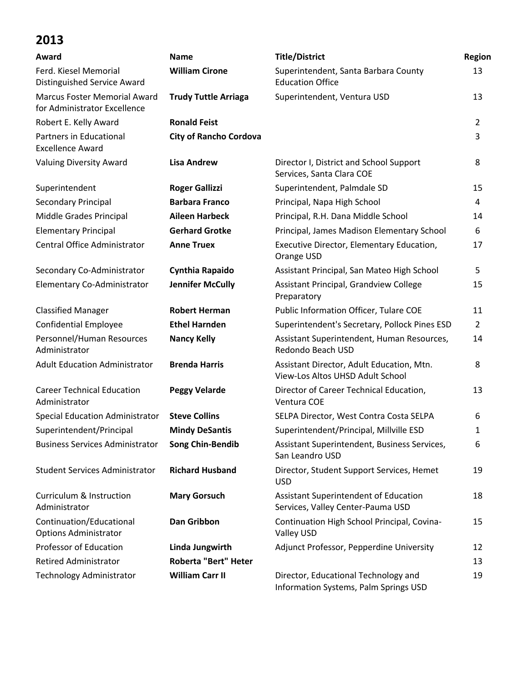| Award                                                               | <b>Name</b>                   | <b>Title/District</b>                                                         | Region         |
|---------------------------------------------------------------------|-------------------------------|-------------------------------------------------------------------------------|----------------|
| Ferd. Kiesel Memorial<br>Distinguished Service Award                | <b>William Cirone</b>         | Superintendent, Santa Barbara County<br><b>Education Office</b>               | 13             |
| <b>Marcus Foster Memorial Award</b><br>for Administrator Excellence | <b>Trudy Tuttle Arriaga</b>   | Superintendent, Ventura USD                                                   | 13             |
| Robert E. Kelly Award                                               | <b>Ronald Feist</b>           |                                                                               | $\overline{2}$ |
| Partners in Educational<br><b>Excellence Award</b>                  | <b>City of Rancho Cordova</b> |                                                                               | 3              |
| <b>Valuing Diversity Award</b>                                      | <b>Lisa Andrew</b>            | Director I, District and School Support<br>Services, Santa Clara COE          | 8              |
| Superintendent                                                      | <b>Roger Gallizzi</b>         | Superintendent, Palmdale SD                                                   | 15             |
| Secondary Principal                                                 | <b>Barbara Franco</b>         | Principal, Napa High School                                                   | 4              |
| Middle Grades Principal                                             | <b>Aileen Harbeck</b>         | Principal, R.H. Dana Middle School                                            | 14             |
| <b>Elementary Principal</b>                                         | <b>Gerhard Grotke</b>         | Principal, James Madison Elementary School                                    | 6              |
| Central Office Administrator                                        | <b>Anne Truex</b>             | Executive Director, Elementary Education,<br>Orange USD                       | 17             |
| Secondary Co-Administrator                                          | Cynthia Rapaido               | Assistant Principal, San Mateo High School                                    | 5              |
| Elementary Co-Administrator                                         | <b>Jennifer McCully</b>       | Assistant Principal, Grandview College<br>Preparatory                         | 15             |
| <b>Classified Manager</b>                                           | <b>Robert Herman</b>          | Public Information Officer, Tulare COE                                        | 11             |
| <b>Confidential Employee</b>                                        | <b>Ethel Harnden</b>          | Superintendent's Secretary, Pollock Pines ESD                                 | $\overline{2}$ |
| Personnel/Human Resources<br>Administrator                          | <b>Nancy Kelly</b>            | Assistant Superintendent, Human Resources,<br>Redondo Beach USD               | 14             |
| <b>Adult Education Administrator</b>                                | <b>Brenda Harris</b>          | Assistant Director, Adult Education, Mtn.<br>View-Los Altos UHSD Adult School | 8              |
| <b>Career Technical Education</b><br>Administrator                  | <b>Peggy Velarde</b>          | Director of Career Technical Education,<br>Ventura COE                        | 13             |
| <b>Special Education Administrator</b>                              | <b>Steve Collins</b>          | SELPA Director, West Contra Costa SELPA                                       | 6              |
| Superintendent/Principal                                            | <b>Mindy DeSantis</b>         | Superintendent/Principal, Millville ESD                                       | 1              |
| <b>Business Services Administrator</b>                              | <b>Song Chin-Bendib</b>       | Assistant Superintendent, Business Services,<br>San Leandro USD               | 6              |
| <b>Student Services Administrator</b>                               | <b>Richard Husband</b>        | Director, Student Support Services, Hemet<br><b>USD</b>                       | 19             |
| <b>Curriculum &amp; Instruction</b><br>Administrator                | <b>Mary Gorsuch</b>           | Assistant Superintendent of Education<br>Services, Valley Center-Pauma USD    | 18             |
| Continuation/Educational<br><b>Options Administrator</b>            | <b>Dan Gribbon</b>            | Continuation High School Principal, Covina-<br>Valley USD                     | 15             |
| Professor of Education                                              | Linda Jungwirth               | Adjunct Professor, Pepperdine University                                      | 12             |
| <b>Retired Administrator</b>                                        | Roberta "Bert" Heter          |                                                                               | 13             |
| Technology Administrator                                            | <b>William Carr II</b>        | Director, Educational Technology and<br>Information Systems, Palm Springs USD | 19             |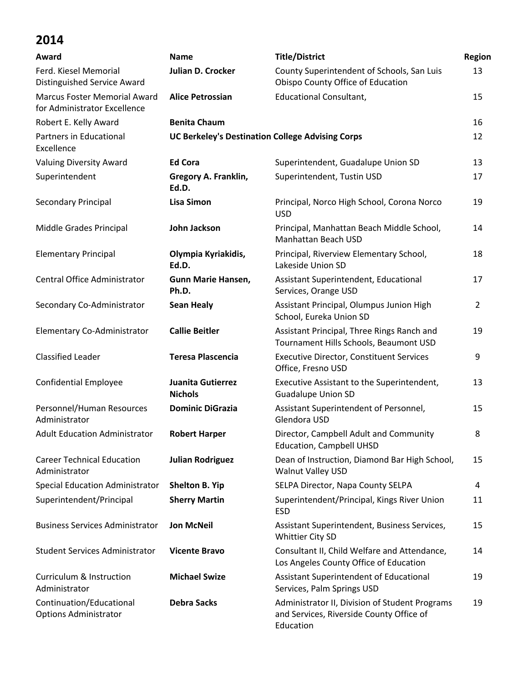| Award                                                               | <b>Name</b>                                             | <b>Title/District</b>                                                                                   | Region         |
|---------------------------------------------------------------------|---------------------------------------------------------|---------------------------------------------------------------------------------------------------------|----------------|
| Ferd. Kiesel Memorial<br>Distinguished Service Award                | Julian D. Crocker                                       | County Superintendent of Schools, San Luis<br>Obispo County Office of Education                         | 13             |
| <b>Marcus Foster Memorial Award</b><br>for Administrator Excellence | <b>Alice Petrossian</b>                                 | <b>Educational Consultant,</b>                                                                          | 15             |
| Robert E. Kelly Award                                               | <b>Benita Chaum</b>                                     |                                                                                                         | 16             |
| Partners in Educational<br>Excellence                               | <b>UC Berkeley's Destination College Advising Corps</b> |                                                                                                         | 12             |
| <b>Valuing Diversity Award</b>                                      | <b>Ed Cora</b>                                          | Superintendent, Guadalupe Union SD                                                                      | 13             |
| Superintendent                                                      | Gregory A. Franklin,<br>Ed.D.                           | Superintendent, Tustin USD                                                                              | 17             |
| Secondary Principal                                                 | <b>Lisa Simon</b>                                       | Principal, Norco High School, Corona Norco<br><b>USD</b>                                                | 19             |
| Middle Grades Principal                                             | John Jackson                                            | Principal, Manhattan Beach Middle School,<br>Manhattan Beach USD                                        | 14             |
| <b>Elementary Principal</b>                                         | Olympia Kyriakidis,<br>Ed.D.                            | Principal, Riverview Elementary School,<br>Lakeside Union SD                                            | 18             |
| Central Office Administrator                                        | Gunn Marie Hansen,<br>Ph.D.                             | Assistant Superintendent, Educational<br>Services, Orange USD                                           | 17             |
| Secondary Co-Administrator                                          | <b>Sean Healy</b>                                       | Assistant Principal, Olumpus Junion High<br>School, Eureka Union SD                                     | $\overline{2}$ |
| Elementary Co-Administrator                                         | <b>Callie Beitler</b>                                   | Assistant Principal, Three Rings Ranch and<br>Tournament Hills Schools, Beaumont USD                    | 19             |
| <b>Classified Leader</b>                                            | <b>Teresa Plascencia</b>                                | <b>Executive Director, Constituent Services</b><br>Office, Fresno USD                                   | 9              |
| <b>Confidential Employee</b>                                        | Juanita Gutierrez<br><b>Nichols</b>                     | Executive Assistant to the Superintendent,<br><b>Guadalupe Union SD</b>                                 | 13             |
| Personnel/Human Resources<br>Administrator                          | <b>Dominic DiGrazia</b>                                 | Assistant Superintendent of Personnel,<br>Glendora USD                                                  | 15             |
| <b>Adult Education Administrator</b>                                | <b>Robert Harper</b>                                    | Director, Campbell Adult and Community<br><b>Education, Campbell UHSD</b>                               | 8              |
| <b>Career Technical Education</b><br>Administrator                  | <b>Julian Rodriguez</b>                                 | Dean of Instruction, Diamond Bar High School,<br><b>Walnut Valley USD</b>                               | 15             |
| <b>Special Education Administrator</b>                              | <b>Shelton B. Yip</b>                                   | SELPA Director, Napa County SELPA                                                                       | 4              |
| Superintendent/Principal                                            | <b>Sherry Martin</b>                                    | Superintendent/Principal, Kings River Union<br><b>ESD</b>                                               | 11             |
| <b>Business Services Administrator</b>                              | <b>Jon McNeil</b>                                       | Assistant Superintendent, Business Services,<br>Whittier City SD                                        | 15             |
| <b>Student Services Administrator</b>                               | <b>Vicente Bravo</b>                                    | Consultant II, Child Welfare and Attendance,<br>Los Angeles County Office of Education                  | 14             |
| <b>Curriculum &amp; Instruction</b><br>Administrator                | <b>Michael Swize</b>                                    | Assistant Superintendent of Educational<br>Services, Palm Springs USD                                   | 19             |
| Continuation/Educational<br><b>Options Administrator</b>            | <b>Debra Sacks</b>                                      | Administrator II, Division of Student Programs<br>and Services, Riverside County Office of<br>Education | 19             |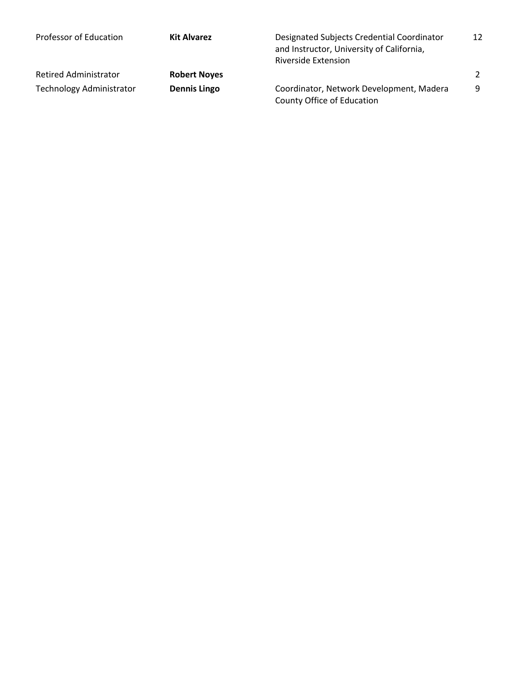| Professor of Education          | <b>Kit Alvarez</b>  | Designated Subjects Credential Coordinator<br>and Instructor, University of California,<br><b>Riverside Extension</b> | 12 |
|---------------------------------|---------------------|-----------------------------------------------------------------------------------------------------------------------|----|
| Retired Administrator           | <b>Robert Noyes</b> |                                                                                                                       | 2  |
| <b>Technology Administrator</b> | <b>Dennis Lingo</b> | Coordinator, Network Development, Madera<br>County Office of Education                                                | -9 |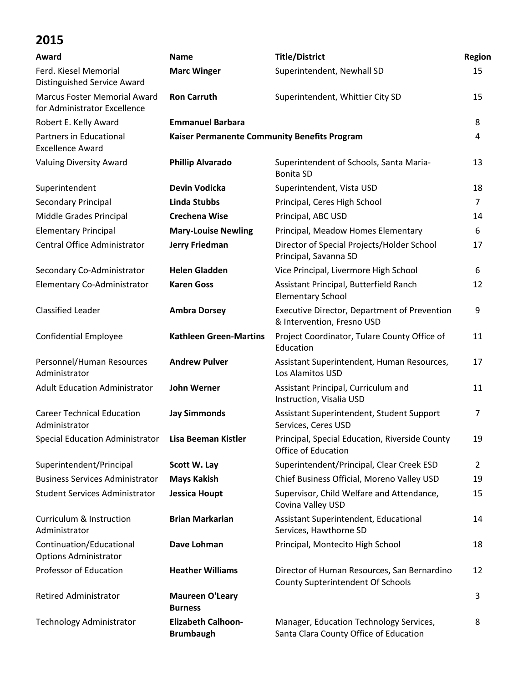| Award                                                               | <b>Name</b>                                   | <b>Title/District</b>                                                                   | Region         |
|---------------------------------------------------------------------|-----------------------------------------------|-----------------------------------------------------------------------------------------|----------------|
| Ferd. Kiesel Memorial<br>Distinguished Service Award                | <b>Marc Winger</b>                            | Superintendent, Newhall SD                                                              | 15             |
| <b>Marcus Foster Memorial Award</b><br>for Administrator Excellence | <b>Ron Carruth</b>                            | Superintendent, Whittier City SD                                                        | 15             |
| Robert E. Kelly Award                                               | <b>Emmanuel Barbara</b>                       |                                                                                         | 8              |
| Partners in Educational<br><b>Excellence Award</b>                  | Kaiser Permanente Community Benefits Program  |                                                                                         | 4              |
| <b>Valuing Diversity Award</b>                                      | <b>Phillip Alvarado</b>                       | Superintendent of Schools, Santa Maria-<br><b>Bonita SD</b>                             | 13             |
| Superintendent                                                      | Devin Vodicka                                 | Superintendent, Vista USD                                                               | 18             |
| Secondary Principal                                                 | <b>Linda Stubbs</b>                           | Principal, Ceres High School                                                            | $\overline{7}$ |
| Middle Grades Principal                                             | <b>Crechena Wise</b>                          | Principal, ABC USD                                                                      | 14             |
| <b>Elementary Principal</b>                                         | <b>Mary-Louise Newling</b>                    | Principal, Meadow Homes Elementary                                                      | 6              |
| Central Office Administrator                                        | <b>Jerry Friedman</b>                         | Director of Special Projects/Holder School<br>Principal, Savanna SD                     | 17             |
| Secondary Co-Administrator                                          | <b>Helen Gladden</b>                          | Vice Principal, Livermore High School                                                   | 6              |
| Elementary Co-Administrator                                         | <b>Karen Goss</b>                             | Assistant Principal, Butterfield Ranch<br><b>Elementary School</b>                      | 12             |
| <b>Classified Leader</b>                                            | <b>Ambra Dorsey</b>                           | Executive Director, Department of Prevention<br>& Intervention, Fresno USD              | 9              |
| <b>Confidential Employee</b>                                        | <b>Kathleen Green-Martins</b>                 | Project Coordinator, Tulare County Office of<br>Education                               | 11             |
| Personnel/Human Resources<br>Administrator                          | <b>Andrew Pulver</b>                          | Assistant Superintendent, Human Resources,<br>Los Alamitos USD                          | 17             |
| <b>Adult Education Administrator</b>                                | <b>John Werner</b>                            | Assistant Principal, Curriculum and<br>Instruction, Visalia USD                         | 11             |
| <b>Career Technical Education</b><br>Administrator                  | <b>Jay Simmonds</b>                           | Assistant Superintendent, Student Support<br>Services, Ceres USD                        | $\overline{7}$ |
| <b>Special Education Administrator</b>                              | <b>Lisa Beeman Kistler</b>                    | Principal, Special Education, Riverside County<br>Office of Education                   | 19             |
| Superintendent/Principal                                            | Scott W. Lay                                  | Superintendent/Principal, Clear Creek ESD                                               | 2              |
| <b>Business Services Administrator</b>                              | <b>Mays Kakish</b>                            | Chief Business Official, Moreno Valley USD                                              | 19             |
| <b>Student Services Administrator</b>                               | <b>Jessica Houpt</b>                          | Supervisor, Child Welfare and Attendance,<br>Covina Valley USD                          | 15             |
| <b>Curriculum &amp; Instruction</b><br>Administrator                | <b>Brian Markarian</b>                        | Assistant Superintendent, Educational<br>Services, Hawthorne SD                         | 14             |
| Continuation/Educational<br><b>Options Administrator</b>            | Dave Lohman                                   | Principal, Montecito High School                                                        | 18             |
| Professor of Education                                              | <b>Heather Williams</b>                       | Director of Human Resources, San Bernardino<br><b>County Supterintendent Of Schools</b> | 12             |
| <b>Retired Administrator</b>                                        | <b>Maureen O'Leary</b><br><b>Burness</b>      |                                                                                         | 3              |
| <b>Technology Administrator</b>                                     | <b>Elizabeth Calhoon-</b><br><b>Brumbaugh</b> | Manager, Education Technology Services,<br>Santa Clara County Office of Education       | 8              |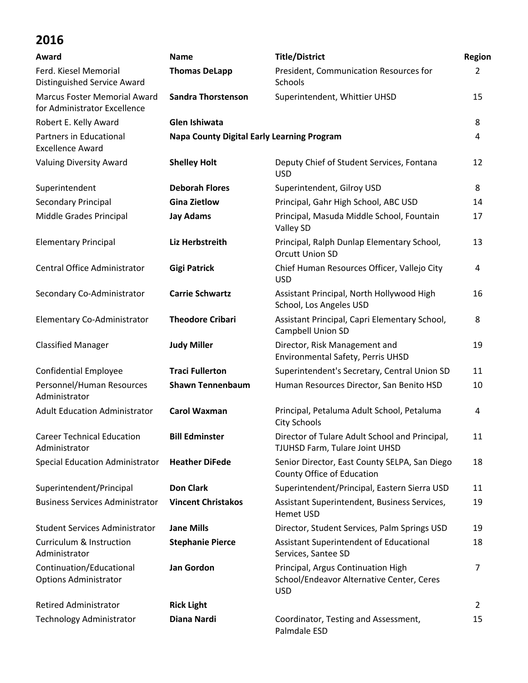| Award                                                               | <b>Name</b>                                       | <b>Title/District</b>                                                                         | Region |
|---------------------------------------------------------------------|---------------------------------------------------|-----------------------------------------------------------------------------------------------|--------|
| Ferd. Kiesel Memorial<br><b>Distinguished Service Award</b>         | <b>Thomas DeLapp</b>                              | President, Communication Resources for<br>Schools                                             | 2      |
| <b>Marcus Foster Memorial Award</b><br>for Administrator Excellence | <b>Sandra Thorstenson</b>                         | Superintendent, Whittier UHSD                                                                 | 15     |
| Robert E. Kelly Award                                               | Glen Ishiwata                                     |                                                                                               | 8      |
| Partners in Educational<br><b>Excellence Award</b>                  | <b>Napa County Digital Early Learning Program</b> |                                                                                               | 4      |
| <b>Valuing Diversity Award</b>                                      | <b>Shelley Holt</b>                               | Deputy Chief of Student Services, Fontana<br><b>USD</b>                                       | 12     |
| Superintendent                                                      | <b>Deborah Flores</b>                             | Superintendent, Gilroy USD                                                                    | 8      |
| Secondary Principal                                                 | <b>Gina Zietlow</b>                               | Principal, Gahr High School, ABC USD                                                          | 14     |
| Middle Grades Principal                                             | <b>Jay Adams</b>                                  | Principal, Masuda Middle School, Fountain<br>Valley SD                                        | 17     |
| <b>Elementary Principal</b>                                         | Liz Herbstreith                                   | Principal, Ralph Dunlap Elementary School,<br><b>Orcutt Union SD</b>                          | 13     |
| Central Office Administrator                                        | <b>Gigi Patrick</b>                               | Chief Human Resources Officer, Vallejo City<br><b>USD</b>                                     | 4      |
| Secondary Co-Administrator                                          | <b>Carrie Schwartz</b>                            | Assistant Principal, North Hollywood High<br>School, Los Angeles USD                          | 16     |
| Elementary Co-Administrator                                         | <b>Theodore Cribari</b>                           | Assistant Principal, Capri Elementary School,<br>Campbell Union SD                            | 8      |
| <b>Classified Manager</b>                                           | <b>Judy Miller</b>                                | Director, Risk Management and<br>Environmental Safety, Perris UHSD                            | 19     |
| <b>Confidential Employee</b>                                        | <b>Traci Fullerton</b>                            | Superintendent's Secretary, Central Union SD                                                  | 11     |
| Personnel/Human Resources<br>Administrator                          | <b>Shawn Tennenbaum</b>                           | Human Resources Director, San Benito HSD                                                      | 10     |
| <b>Adult Education Administrator</b>                                | <b>Carol Waxman</b>                               | Principal, Petaluma Adult School, Petaluma<br><b>City Schools</b>                             | 4      |
| <b>Career Technical Education</b><br>Administrator                  | <b>Bill Edminster</b>                             | Director of Tulare Adult School and Principal,<br>TJUHSD Farm, Tulare Joint UHSD              | 11     |
| Special Education Administrator                                     | <b>Heather DiFede</b>                             | Senior Director, East County SELPA, San Diego<br>County Office of Education                   | 18     |
| Superintendent/Principal                                            | <b>Don Clark</b>                                  | Superintendent/Principal, Eastern Sierra USD                                                  | 11     |
| <b>Business Services Administrator</b>                              | <b>Vincent Christakos</b>                         | Assistant Superintendent, Business Services,<br><b>Hemet USD</b>                              | 19     |
| <b>Student Services Administrator</b>                               | <b>Jane Mills</b>                                 | Director, Student Services, Palm Springs USD                                                  | 19     |
| <b>Curriculum &amp; Instruction</b><br>Administrator                | <b>Stephanie Pierce</b>                           | Assistant Superintendent of Educational<br>Services, Santee SD                                | 18     |
| Continuation/Educational<br><b>Options Administrator</b>            | <b>Jan Gordon</b>                                 | Principal, Argus Continuation High<br>School/Endeavor Alternative Center, Ceres<br><b>USD</b> | 7      |
| <b>Retired Administrator</b>                                        | <b>Rick Light</b>                                 |                                                                                               | 2      |
| <b>Technology Administrator</b>                                     | Diana Nardi                                       | Coordinator, Testing and Assessment,<br>Palmdale ESD                                          | 15     |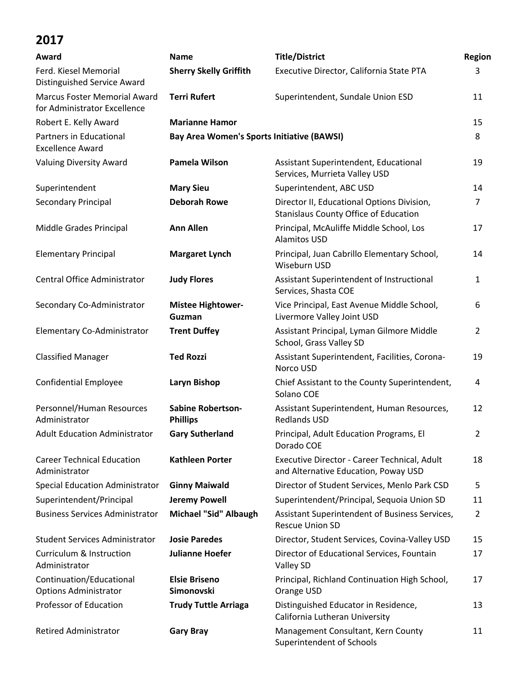| Award                                                               | <b>Name</b>                                       | <b>Title/District</b>                                                                | Region         |
|---------------------------------------------------------------------|---------------------------------------------------|--------------------------------------------------------------------------------------|----------------|
| Ferd. Kiesel Memorial<br>Distinguished Service Award                | <b>Sherry Skelly Griffith</b>                     | Executive Director, California State PTA                                             | 3              |
| <b>Marcus Foster Memorial Award</b><br>for Administrator Excellence | <b>Terri Rufert</b>                               | Superintendent, Sundale Union ESD                                                    | 11             |
| Robert E. Kelly Award                                               | <b>Marianne Hamor</b>                             |                                                                                      | 15             |
| Partners in Educational<br><b>Excellence Award</b>                  | <b>Bay Area Women's Sports Initiative (BAWSI)</b> |                                                                                      | 8              |
| <b>Valuing Diversity Award</b>                                      | Pamela Wilson                                     | Assistant Superintendent, Educational<br>Services, Murrieta Valley USD               | 19             |
| Superintendent                                                      | <b>Mary Sieu</b>                                  | Superintendent, ABC USD                                                              | 14             |
| Secondary Principal                                                 | <b>Deborah Rowe</b>                               | Director II, Educational Options Division,<br>Stanislaus County Office of Education  | 7              |
| Middle Grades Principal                                             | <b>Ann Allen</b>                                  | Principal, McAuliffe Middle School, Los<br><b>Alamitos USD</b>                       | 17             |
| <b>Elementary Principal</b>                                         | <b>Margaret Lynch</b>                             | Principal, Juan Cabrillo Elementary School,<br>Wiseburn USD                          | 14             |
| Central Office Administrator                                        | <b>Judy Flores</b>                                | Assistant Superintendent of Instructional<br>Services, Shasta COE                    | 1              |
| Secondary Co-Administrator                                          | <b>Mistee Hightower-</b><br>Guzman                | Vice Principal, East Avenue Middle School,<br>Livermore Valley Joint USD             | 6              |
| Elementary Co-Administrator                                         | <b>Trent Duffey</b>                               | Assistant Principal, Lyman Gilmore Middle<br>School, Grass Valley SD                 | $\overline{2}$ |
| <b>Classified Manager</b>                                           | <b>Ted Rozzi</b>                                  | Assistant Superintendent, Facilities, Corona-<br>Norco USD                           | 19             |
| <b>Confidential Employee</b>                                        | Laryn Bishop                                      | Chief Assistant to the County Superintendent,<br>Solano COE                          | 4              |
| Personnel/Human Resources<br>Administrator                          | <b>Sabine Robertson-</b><br><b>Phillips</b>       | Assistant Superintendent, Human Resources,<br><b>Redlands USD</b>                    | 12             |
| <b>Adult Education Administrator</b>                                | <b>Gary Sutherland</b>                            | Principal, Adult Education Programs, El<br>Dorado COE                                | 2              |
| <b>Career Technical Education</b><br>Administrator                  | <b>Kathleen Porter</b>                            | Executive Director - Career Technical, Adult<br>and Alternative Education, Poway USD | 18             |
| <b>Special Education Administrator</b>                              | <b>Ginny Maiwald</b>                              | Director of Student Services, Menlo Park CSD                                         | 5              |
| Superintendent/Principal                                            | <b>Jeremy Powell</b>                              | Superintendent/Principal, Sequoia Union SD                                           | 11             |
| <b>Business Services Administrator</b>                              | Michael "Sid" Albaugh                             | Assistant Superintendent of Business Services,<br><b>Rescue Union SD</b>             | 2              |
| <b>Student Services Administrator</b>                               | <b>Josie Paredes</b>                              | Director, Student Services, Covina-Valley USD                                        | 15             |
| <b>Curriculum &amp; Instruction</b><br>Administrator                | <b>Julianne Hoefer</b>                            | Director of Educational Services, Fountain<br>Valley SD                              | 17             |
| Continuation/Educational<br><b>Options Administrator</b>            | <b>Elsie Briseno</b><br>Simonovski                | Principal, Richland Continuation High School,<br>Orange USD                          | 17             |
| <b>Professor of Education</b>                                       | <b>Trudy Tuttle Arriaga</b>                       | Distinguished Educator in Residence,<br>California Lutheran University               | 13             |
| <b>Retired Administrator</b>                                        | <b>Gary Bray</b>                                  | Management Consultant, Kern County<br>Superintendent of Schools                      | 11             |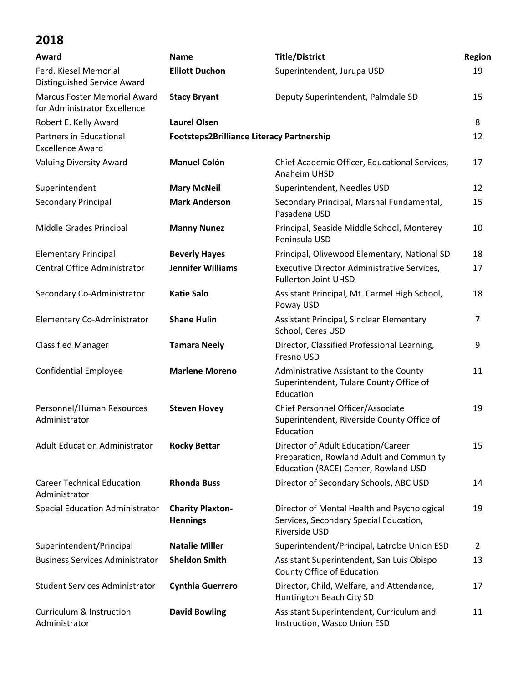| Award                                                               | <b>Name</b>                                      | <b>Title/District</b>                                                                                                  | Region |
|---------------------------------------------------------------------|--------------------------------------------------|------------------------------------------------------------------------------------------------------------------------|--------|
| Ferd. Kiesel Memorial<br>Distinguished Service Award                | <b>Elliott Duchon</b>                            | Superintendent, Jurupa USD                                                                                             | 19     |
| <b>Marcus Foster Memorial Award</b><br>for Administrator Excellence | <b>Stacy Bryant</b>                              | Deputy Superintendent, Palmdale SD                                                                                     | 15     |
| Robert E. Kelly Award                                               | <b>Laurel Olsen</b>                              |                                                                                                                        | 8      |
| Partners in Educational<br><b>Excellence Award</b>                  | <b>Footsteps2Brilliance Literacy Partnership</b> |                                                                                                                        | 12     |
| <b>Valuing Diversity Award</b>                                      | <b>Manuel Colón</b>                              | Chief Academic Officer, Educational Services,<br>Anaheim UHSD                                                          | 17     |
| Superintendent                                                      | <b>Mary McNeil</b>                               | Superintendent, Needles USD                                                                                            | 12     |
| Secondary Principal                                                 | <b>Mark Anderson</b>                             | Secondary Principal, Marshal Fundamental,<br>Pasadena USD                                                              | 15     |
| Middle Grades Principal                                             | <b>Manny Nunez</b>                               | Principal, Seaside Middle School, Monterey<br>Peninsula USD                                                            | 10     |
| <b>Elementary Principal</b>                                         | <b>Beverly Hayes</b>                             | Principal, Olivewood Elementary, National SD                                                                           | 18     |
| <b>Central Office Administrator</b>                                 | <b>Jennifer Williams</b>                         | Executive Director Administrative Services,<br><b>Fullerton Joint UHSD</b>                                             | 17     |
| Secondary Co-Administrator                                          | <b>Katie Salo</b>                                | Assistant Principal, Mt. Carmel High School,<br>Poway USD                                                              | 18     |
| Elementary Co-Administrator                                         | <b>Shane Hulin</b>                               | Assistant Principal, Sinclear Elementary<br>School, Ceres USD                                                          | 7      |
| <b>Classified Manager</b>                                           | <b>Tamara Neely</b>                              | Director, Classified Professional Learning,<br>Fresno USD                                                              | 9      |
| <b>Confidential Employee</b>                                        | <b>Marlene Moreno</b>                            | Administrative Assistant to the County<br>Superintendent, Tulare County Office of<br>Education                         | 11     |
| Personnel/Human Resources<br>Administrator                          | <b>Steven Hovey</b>                              | Chief Personnel Officer/Associate<br>Superintendent, Riverside County Office of<br>Education                           | 19     |
| <b>Adult Education Administrator</b>                                | <b>Rocky Bettar</b>                              | Director of Adult Education/Career<br>Preparation, Rowland Adult and Community<br>Education (RACE) Center, Rowland USD | 15     |
| <b>Career Technical Education</b><br>Administrator                  | <b>Rhonda Buss</b>                               | Director of Secondary Schools, ABC USD                                                                                 | 14     |
| <b>Special Education Administrator</b>                              | <b>Charity Plaxton-</b><br><b>Hennings</b>       | Director of Mental Health and Psychological<br>Services, Secondary Special Education,<br>Riverside USD                 | 19     |
| Superintendent/Principal                                            | <b>Natalie Miller</b>                            | Superintendent/Principal, Latrobe Union ESD                                                                            | 2      |
| <b>Business Services Administrator</b>                              | <b>Sheldon Smith</b>                             | Assistant Superintendent, San Luis Obispo<br>County Office of Education                                                | 13     |
| <b>Student Services Administrator</b>                               | <b>Cynthia Guerrero</b>                          | Director, Child, Welfare, and Attendance,<br>Huntington Beach City SD                                                  | 17     |
| <b>Curriculum &amp; Instruction</b><br>Administrator                | <b>David Bowling</b>                             | Assistant Superintendent, Curriculum and<br>Instruction, Wasco Union ESD                                               | 11     |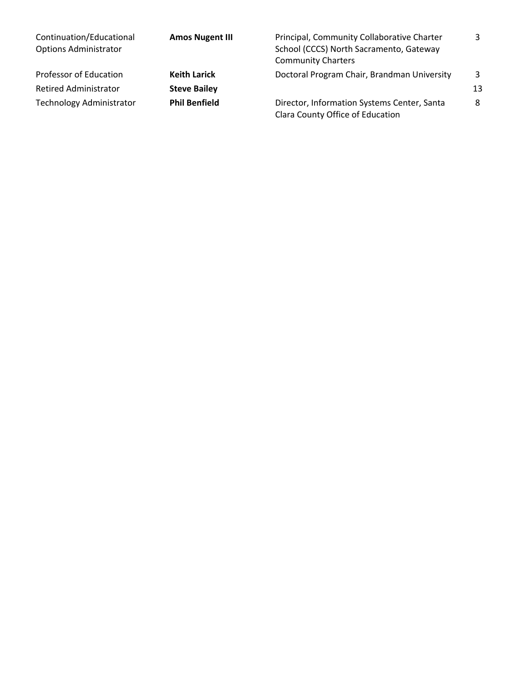| Continuation/Educational<br><b>Options Administrator</b> | <b>Amos Nugent III</b> | Principal, Community Collaborative Charter<br>School (CCCS) North Sacramento, Gateway<br><b>Community Charters</b> | 3  |
|----------------------------------------------------------|------------------------|--------------------------------------------------------------------------------------------------------------------|----|
| Professor of Education                                   | <b>Keith Larick</b>    | Doctoral Program Chair, Brandman University                                                                        | 3  |
| <b>Retired Administrator</b>                             | <b>Steve Bailey</b>    |                                                                                                                    | 13 |
| <b>Technology Administrator</b>                          | <b>Phil Benfield</b>   | Director, Information Systems Center, Santa<br>Clara County Office of Education                                    | 8  |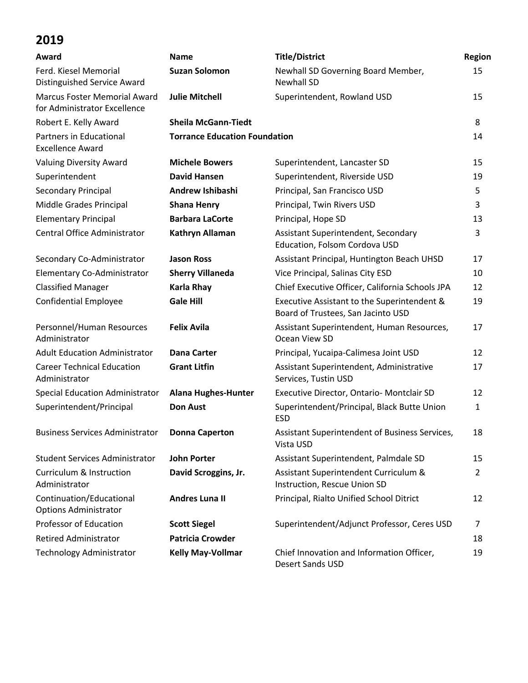| Award                                                               | <b>Name</b>                          | <b>Title/District</b>                                                             | Region |
|---------------------------------------------------------------------|--------------------------------------|-----------------------------------------------------------------------------------|--------|
| Ferd. Kiesel Memorial<br>Distinguished Service Award                | <b>Suzan Solomon</b>                 | Newhall SD Governing Board Member,<br><b>Newhall SD</b>                           | 15     |
| <b>Marcus Foster Memorial Award</b><br>for Administrator Excellence | <b>Julie Mitchell</b>                | Superintendent, Rowland USD                                                       | 15     |
| Robert E. Kelly Award                                               | <b>Sheila McGann-Tiedt</b>           |                                                                                   | 8      |
| Partners in Educational<br><b>Excellence Award</b>                  | <b>Torrance Education Foundation</b> |                                                                                   | 14     |
| <b>Valuing Diversity Award</b>                                      | <b>Michele Bowers</b>                | Superintendent, Lancaster SD                                                      | 15     |
| Superintendent                                                      | <b>David Hansen</b>                  | Superintendent, Riverside USD                                                     | 19     |
| Secondary Principal                                                 | Andrew Ishibashi                     | Principal, San Francisco USD                                                      | 5      |
| Middle Grades Principal                                             | <b>Shana Henry</b>                   | Principal, Twin Rivers USD                                                        | 3      |
| <b>Elementary Principal</b>                                         | <b>Barbara LaCorte</b>               | Principal, Hope SD                                                                | 13     |
| Central Office Administrator                                        | Kathryn Allaman                      | Assistant Superintendent, Secondary<br>Education, Folsom Cordova USD              | 3      |
| Secondary Co-Administrator                                          | <b>Jason Ross</b>                    | Assistant Principal, Huntington Beach UHSD                                        | 17     |
| Elementary Co-Administrator                                         | <b>Sherry Villaneda</b>              | Vice Principal, Salinas City ESD                                                  | 10     |
| <b>Classified Manager</b>                                           | <b>Karla Rhay</b>                    | Chief Executive Officer, California Schools JPA                                   | 12     |
| <b>Confidential Employee</b>                                        | <b>Gale Hill</b>                     | Executive Assistant to the Superintendent &<br>Board of Trustees, San Jacinto USD | 19     |
| Personnel/Human Resources<br>Administrator                          | <b>Felix Avila</b>                   | Assistant Superintendent, Human Resources,<br>Ocean View SD                       | 17     |
| <b>Adult Education Administrator</b>                                | <b>Dana Carter</b>                   | Principal, Yucaipa-Calimesa Joint USD                                             | 12     |
| <b>Career Technical Education</b><br>Administrator                  | <b>Grant Litfin</b>                  | Assistant Superintendent, Administrative<br>Services, Tustin USD                  | 17     |
| <b>Special Education Administrator</b>                              | <b>Alana Hughes-Hunter</b>           | Executive Director, Ontario- Montclair SD                                         | 12     |
| Superintendent/Principal                                            | <b>Don Aust</b>                      | Superintendent/Principal, Black Butte Union<br><b>ESD</b>                         | 1      |
| <b>Business Services Administrator</b>                              | <b>Donna Caperton</b>                | Assistant Superintendent of Business Services,<br>Vista USD                       | 18     |
| <b>Student Services Administrator</b>                               | <b>John Porter</b>                   | Assistant Superintendent, Palmdale SD                                             | 15     |
| <b>Curriculum &amp; Instruction</b><br>Administrator                | David Scroggins, Jr.                 | Assistant Superintendent Curriculum &<br>Instruction, Rescue Union SD             | 2      |
| Continuation/Educational<br><b>Options Administrator</b>            | <b>Andres Luna II</b>                | Principal, Rialto Unified School Ditrict                                          | 12     |
| <b>Professor of Education</b>                                       | <b>Scott Siegel</b>                  | Superintendent/Adjunct Professor, Ceres USD                                       | 7      |
| <b>Retired Administrator</b>                                        | <b>Patricia Crowder</b>              |                                                                                   | 18     |
| <b>Technology Administrator</b>                                     | <b>Kelly May-Vollmar</b>             | Chief Innovation and Information Officer,<br><b>Desert Sands USD</b>              | 19     |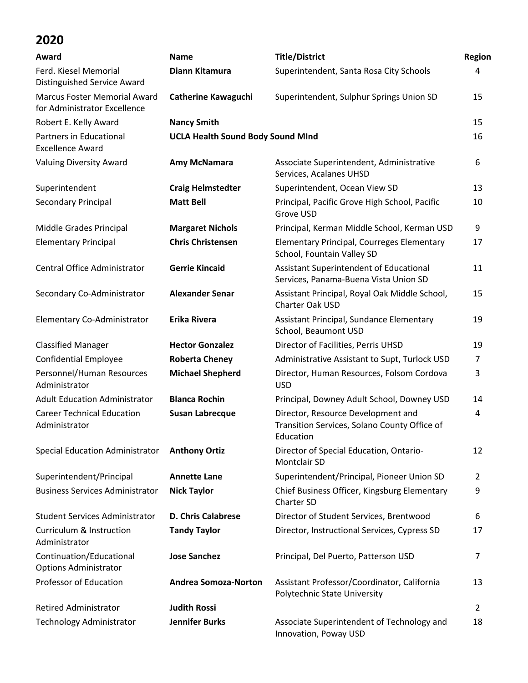| Award                                                               | <b>Name</b>                              | <b>Title/District</b>                                                                           | Region         |
|---------------------------------------------------------------------|------------------------------------------|-------------------------------------------------------------------------------------------------|----------------|
| Ferd. Kiesel Memorial<br><b>Distinguished Service Award</b>         | Diann Kitamura                           | Superintendent, Santa Rosa City Schools                                                         | 4              |
| <b>Marcus Foster Memorial Award</b><br>for Administrator Excellence | <b>Catherine Kawaguchi</b>               | Superintendent, Sulphur Springs Union SD                                                        | 15             |
| Robert E. Kelly Award                                               | <b>Nancy Smith</b>                       |                                                                                                 | 15             |
| Partners in Educational<br><b>Excellence Award</b>                  | <b>UCLA Health Sound Body Sound MInd</b> |                                                                                                 | 16             |
| <b>Valuing Diversity Award</b>                                      | Amy McNamara                             | Associate Superintendent, Administrative<br>Services, Acalanes UHSD                             | 6              |
| Superintendent                                                      | <b>Craig Helmstedter</b>                 | Superintendent, Ocean View SD                                                                   | 13             |
| Secondary Principal                                                 | <b>Matt Bell</b>                         | Principal, Pacific Grove High School, Pacific<br>Grove USD                                      | 10             |
| Middle Grades Principal                                             | <b>Margaret Nichols</b>                  | Principal, Kerman Middle School, Kerman USD                                                     | 9              |
| <b>Elementary Principal</b>                                         | <b>Chris Christensen</b>                 | Elementary Principal, Courreges Elementary<br>School, Fountain Valley SD                        | 17             |
| Central Office Administrator                                        | <b>Gerrie Kincaid</b>                    | Assistant Superintendent of Educational<br>Services, Panama-Buena Vista Union SD                | 11             |
| Secondary Co-Administrator                                          | <b>Alexander Senar</b>                   | Assistant Principal, Royal Oak Middle School,<br>Charter Oak USD                                | 15             |
| Elementary Co-Administrator                                         | <b>Erika Rivera</b>                      | Assistant Principal, Sundance Elementary<br>School, Beaumont USD                                | 19             |
| <b>Classified Manager</b>                                           | <b>Hector Gonzalez</b>                   | Director of Facilities, Perris UHSD                                                             | 19             |
| <b>Confidential Employee</b>                                        | <b>Roberta Cheney</b>                    | Administrative Assistant to Supt, Turlock USD                                                   | $\overline{7}$ |
| Personnel/Human Resources<br>Administrator                          | <b>Michael Shepherd</b>                  | Director, Human Resources, Folsom Cordova<br><b>USD</b>                                         | 3              |
| <b>Adult Education Administrator</b>                                | <b>Blanca Rochin</b>                     | Principal, Downey Adult School, Downey USD                                                      | 14             |
| <b>Career Technical Education</b><br>Administrator                  | <b>Susan Labrecque</b>                   | Director, Resource Development and<br>Transition Services, Solano County Office of<br>Education | 4              |
| <b>Special Education Administrator</b>                              | <b>Anthony Ortiz</b>                     | Director of Special Education, Ontario-<br>Montclair SD                                         | 12             |
| Superintendent/Principal                                            | <b>Annette Lane</b>                      | Superintendent/Principal, Pioneer Union SD                                                      | $\overline{2}$ |
| <b>Business Services Administrator</b>                              | <b>Nick Taylor</b>                       | Chief Business Officer, Kingsburg Elementary<br>Charter SD                                      | 9              |
| <b>Student Services Administrator</b>                               | <b>D. Chris Calabrese</b>                | Director of Student Services, Brentwood                                                         | 6              |
| Curriculum & Instruction<br>Administrator                           | <b>Tandy Taylor</b>                      | Director, Instructional Services, Cypress SD                                                    | 17             |
| Continuation/Educational<br><b>Options Administrator</b>            | <b>Jose Sanchez</b>                      | Principal, Del Puerto, Patterson USD                                                            | 7              |
| Professor of Education                                              | <b>Andrea Somoza-Norton</b>              | Assistant Professor/Coordinator, California<br>Polytechnic State University                     | 13             |
| <b>Retired Administrator</b>                                        | <b>Judith Rossi</b>                      |                                                                                                 | 2              |
| <b>Technology Administrator</b>                                     | <b>Jennifer Burks</b>                    | Associate Superintendent of Technology and<br>Innovation, Poway USD                             | 18             |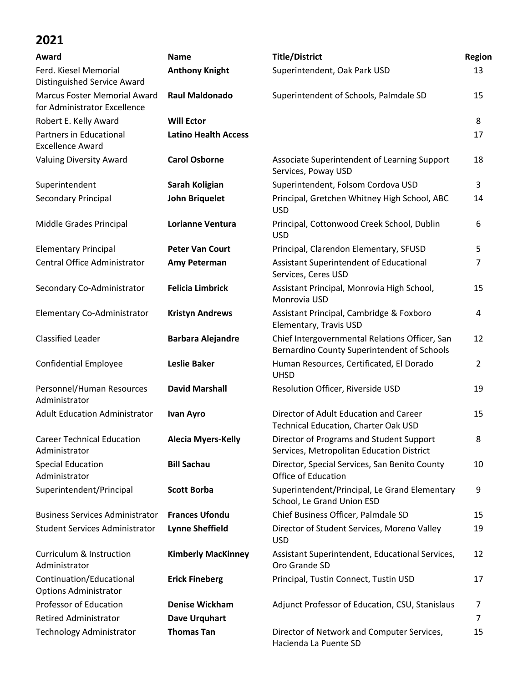| Award                                                               | <b>Name</b>                 | <b>Title/District</b>                                                                         | Region |
|---------------------------------------------------------------------|-----------------------------|-----------------------------------------------------------------------------------------------|--------|
| Ferd. Kiesel Memorial<br><b>Distinguished Service Award</b>         | <b>Anthony Knight</b>       | Superintendent, Oak Park USD                                                                  | 13     |
| <b>Marcus Foster Memorial Award</b><br>for Administrator Excellence | <b>Raul Maldonado</b>       | Superintendent of Schools, Palmdale SD                                                        | 15     |
| Robert E. Kelly Award                                               | <b>Will Ector</b>           |                                                                                               | 8      |
| Partners in Educational<br><b>Excellence Award</b>                  | <b>Latino Health Access</b> |                                                                                               | 17     |
| <b>Valuing Diversity Award</b>                                      | <b>Carol Osborne</b>        | Associate Superintendent of Learning Support<br>Services, Poway USD                           | 18     |
| Superintendent                                                      | Sarah Koligian              | Superintendent, Folsom Cordova USD                                                            | 3      |
| Secondary Principal                                                 | <b>John Briquelet</b>       | Principal, Gretchen Whitney High School, ABC<br><b>USD</b>                                    | 14     |
| Middle Grades Principal                                             | <b>Lorianne Ventura</b>     | Principal, Cottonwood Creek School, Dublin<br><b>USD</b>                                      | 6      |
| <b>Elementary Principal</b>                                         | <b>Peter Van Court</b>      | Principal, Clarendon Elementary, SFUSD                                                        | 5      |
| Central Office Administrator                                        | Amy Peterman                | Assistant Superintendent of Educational<br>Services, Ceres USD                                | 7      |
| Secondary Co-Administrator                                          | <b>Felicia Limbrick</b>     | Assistant Principal, Monrovia High School,<br>Monrovia USD                                    | 15     |
| Elementary Co-Administrator                                         | <b>Kristyn Andrews</b>      | Assistant Principal, Cambridge & Foxboro<br>Elementary, Travis USD                            | 4      |
| <b>Classified Leader</b>                                            | <b>Barbara Alejandre</b>    | Chief Intergovernmental Relations Officer, San<br>Bernardino County Superintendent of Schools | 12     |
| <b>Confidential Employee</b>                                        | <b>Leslie Baker</b>         | Human Resources, Certificated, El Dorado<br><b>UHSD</b>                                       | 2      |
| Personnel/Human Resources<br>Administrator                          | <b>David Marshall</b>       | Resolution Officer, Riverside USD                                                             | 19     |
| <b>Adult Education Administrator</b>                                | <b>Ivan Ayro</b>            | Director of Adult Education and Career<br><b>Technical Education, Charter Oak USD</b>         | 15     |
| <b>Career Technical Education</b><br>Administrator                  | <b>Alecia Myers-Kelly</b>   | Director of Programs and Student Support<br>Services, Metropolitan Education District         | 8      |
| <b>Special Education</b><br>Administrator                           | <b>Bill Sachau</b>          | Director, Special Services, San Benito County<br>Office of Education                          | 10     |
| Superintendent/Principal                                            | <b>Scott Borba</b>          | Superintendent/Principal, Le Grand Elementary<br>School, Le Grand Union ESD                   | 9      |
| <b>Business Services Administrator</b>                              | <b>Frances Ufondu</b>       | Chief Business Officer, Palmdale SD                                                           | 15     |
| <b>Student Services Administrator</b>                               | <b>Lynne Sheffield</b>      | Director of Student Services, Moreno Valley<br><b>USD</b>                                     | 19     |
| Curriculum & Instruction<br>Administrator                           | <b>Kimberly MacKinney</b>   | Assistant Superintendent, Educational Services,<br>Oro Grande SD                              | 12     |
| Continuation/Educational<br><b>Options Administrator</b>            | <b>Erick Fineberg</b>       | Principal, Tustin Connect, Tustin USD                                                         | 17     |
| Professor of Education                                              | <b>Denise Wickham</b>       | Adjunct Professor of Education, CSU, Stanislaus                                               | 7      |
| <b>Retired Administrator</b>                                        | Dave Urquhart               |                                                                                               | 7      |
| <b>Technology Administrator</b>                                     | <b>Thomas Tan</b>           | Director of Network and Computer Services,<br>Hacienda La Puente SD                           | 15     |